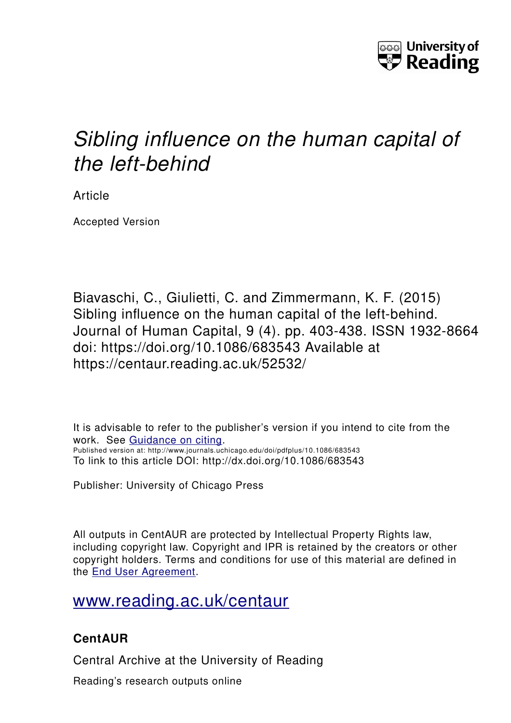

# *Sibling influence on the human capital of the left-behind*

Article

Accepted Version

Biavaschi, C., Giulietti, C. and Zimmermann, K. F. (2015) Sibling influence on the human capital of the left-behind. Journal of Human Capital, 9 (4). pp. 403-438. ISSN 1932-8664 doi: https://doi.org/10.1086/683543 Available at https://centaur.reading.ac.uk/52532/

It is advisable to refer to the publisher's version if you intend to cite from the work. See [Guidance on citing.](http://centaur.reading.ac.uk/71187/10/CentAUR%20citing%20guide.pdf) Published version at: http://www.journals.uchicago.edu/doi/pdfplus/10.1086/683543 To link to this article DOI: http://dx.doi.org/10.1086/683543

Publisher: University of Chicago Press

All outputs in CentAUR are protected by Intellectual Property Rights law, including copyright law. Copyright and IPR is retained by the creators or other copyright holders. Terms and conditions for use of this material are defined in the [End User Agreement.](http://centaur.reading.ac.uk/licence)

[www.reading.ac.uk/centaur](http://www.reading.ac.uk/centaur)

### **CentAUR**

Central Archive at the University of Reading

Reading's research outputs online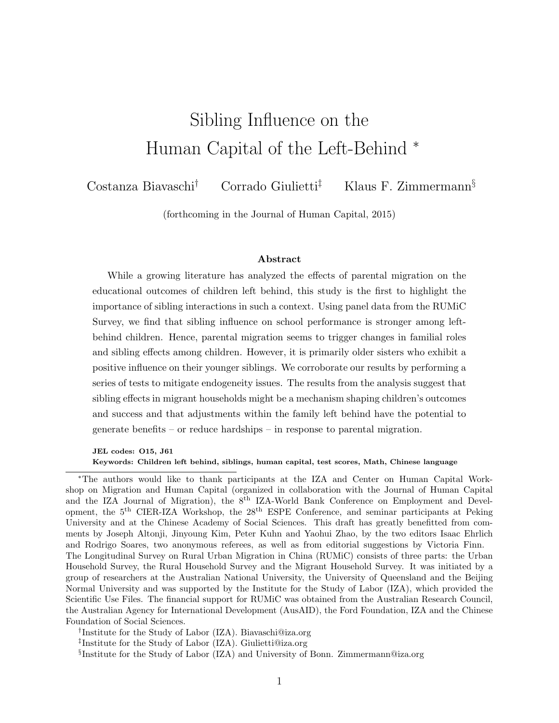# Sibling Influence on the Human Capital of the Left-Behind <sup>∗</sup>

Costanza Biavaschi† Corrado Giulietti‡ Klaus F. Zimmermann§

(forthcoming in the Journal of Human Capital, 2015)

#### Abstract

While a growing literature has analyzed the effects of parental migration on the educational outcomes of children left behind, this study is the first to highlight the importance of sibling interactions in such a context. Using panel data from the RUMiC Survey, we find that sibling influence on school performance is stronger among leftbehind children. Hence, parental migration seems to trigger changes in familial roles and sibling effects among children. However, it is primarily older sisters who exhibit a positive influence on their younger siblings. We corroborate our results by performing a series of tests to mitigate endogeneity issues. The results from the analysis suggest that sibling effects in migrant households might be a mechanism shaping children's outcomes and success and that adjustments within the family left behind have the potential to generate benefits – or reduce hardships – in response to parental migration.

JEL codes: O15, J61 Keywords: Children left behind, siblings, human capital, test scores, Math, Chinese language

<sup>∗</sup>The authors would like to thank participants at the IZA and Center on Human Capital Workshop on Migration and Human Capital (organized in collaboration with the Journal of Human Capital and the IZA Journal of Migration), the  $8<sup>th</sup>$  IZA-World Bank Conference on Employment and Development, the 5th CIER-IZA Workshop, the 28th ESPE Conference, and seminar participants at Peking University and at the Chinese Academy of Social Sciences. This draft has greatly benefitted from comments by Joseph Altonji, Jinyoung Kim, Peter Kuhn and Yaohui Zhao, by the two editors Isaac Ehrlich and Rodrigo Soares, two anonymous referees, as well as from editorial suggestions by Victoria Finn. The Longitudinal Survey on Rural Urban Migration in China (RUMiC) consists of three parts: the Urban Household Survey, the Rural Household Survey and the Migrant Household Survey. It was initiated by a group of researchers at the Australian National University, the University of Queensland and the Beijing Normal University and was supported by the Institute for the Study of Labor (IZA), which provided the Scientific Use Files. The financial support for RUMiC was obtained from the Australian Research Council, the Australian Agency for International Development (AusAID), the Ford Foundation, IZA and the Chinese Foundation of Social Sciences.

<sup>†</sup> Institute for the Study of Labor (IZA). Biavaschi@iza.org

<sup>‡</sup> Institute for the Study of Labor (IZA). Giulietti@iza.org

<sup>§</sup> Institute for the Study of Labor (IZA) and University of Bonn. Zimmermann@iza.org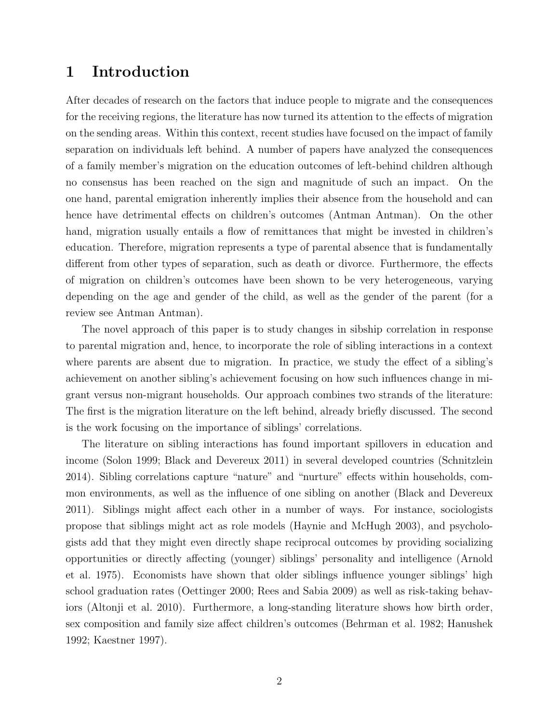#### 1 Introduction

After decades of research on the factors that induce people to migrate and the consequences for the receiving regions, the literature has now turned its attention to the effects of migration on the sending areas. Within this context, recent studies have focused on the impact of family separation on individuals left behind. A number of papers have analyzed the consequences of a family member's migration on the education outcomes of left-behind children although no consensus has been reached on the sign and magnitude of such an impact. On the one hand, parental emigration inherently implies their absence from the household and can hence have detrimental effects on children's outcomes [\(Antman](#page-30-0) [Antman\)](#page-30-0). On the other hand, migration usually entails a flow of remittances that might be invested in children's education. Therefore, migration represents a type of parental absence that is fundamentally different from other types of separation, such as death or divorce. Furthermore, the effects of migration on children's outcomes have been shown to be very heterogeneous, varying depending on the age and gender of the child, as well as the gender of the parent (for a review see [Antman](#page-30-0) [Antman\)](#page-30-0).

The novel approach of this paper is to study changes in sibship correlation in response to parental migration and, hence, to incorporate the role of sibling interactions in a context where parents are absent due to migration. In practice, we study the effect of a sibling's achievement on another sibling's achievement focusing on how such influences change in migrant versus non-migrant households. Our approach combines two strands of the literature: The first is the migration literature on the left behind, already briefly discussed. The second is the work focusing on the importance of siblings' correlations.

The literature on sibling interactions has found important spillovers in education and income [\(Solon](#page-32-0) [1999;](#page-32-0) [Black and Devereux](#page-30-1) [2011\)](#page-30-1) in several developed countries [\(Schnitzlein](#page-32-1) [2014\)](#page-32-1). Sibling correlations capture "nature" and "nurture" effects within households, common environments, as well as the influence of one sibling on another [\(Black and Devereux](#page-30-1) [2011\)](#page-30-1). Siblings might affect each other in a number of ways. For instance, sociologists propose that siblings might act as role models [\(Haynie and McHugh](#page-31-0) [2003\)](#page-31-0), and psychologists add that they might even directly shape reciprocal outcomes by providing socializing opportunities or directly affecting (younger) siblings' personality and intelligence [\(Arnold](#page-30-2) [et al.](#page-30-2) [1975\)](#page-30-2). Economists have shown that older siblings influence younger siblings' high school graduation rates [\(Oettinger](#page-32-2) [2000;](#page-32-2) [Rees and Sabia](#page-32-3) [2009\)](#page-32-3) as well as risk-taking behaviors [\(Altonji et al.](#page-30-3) [2010\)](#page-30-3). Furthermore, a long-standing literature shows how birth order, sex composition and family size affect children's outcomes [\(Behrman et al.](#page-30-4) [1982;](#page-30-4) [Hanushek](#page-31-1) [1992;](#page-31-1) [Kaestner](#page-31-2) [1997\)](#page-31-2).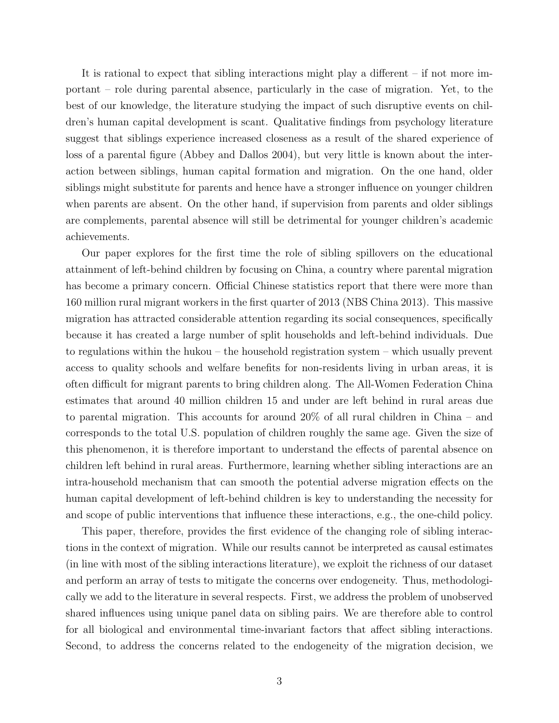It is rational to expect that sibling interactions might play a different – if not more important – role during parental absence, particularly in the case of migration. Yet, to the best of our knowledge, the literature studying the impact of such disruptive events on children's human capital development is scant. Qualitative findings from psychology literature suggest that siblings experience increased closeness as a result of the shared experience of loss of a parental figure [\(Abbey and Dallos](#page-30-5) [2004\)](#page-30-5), but very little is known about the interaction between siblings, human capital formation and migration. On the one hand, older siblings might substitute for parents and hence have a stronger influence on younger children when parents are absent. On the other hand, if supervision from parents and older siblings are complements, parental absence will still be detrimental for younger children's academic achievements.

Our paper explores for the first time the role of sibling spillovers on the educational attainment of left-behind children by focusing on China, a country where parental migration has become a primary concern. Official Chinese statistics report that there were more than 160 million rural migrant workers in the first quarter of 2013 [\(NBS China](#page-31-3) [2013\)](#page-31-3). This massive migration has attracted considerable attention regarding its social consequences, specifically because it has created a large number of split households and left-behind individuals. Due to regulations within the hukou – the household registration system – which usually prevent access to quality schools and welfare benefits for non-residents living in urban areas, it is often difficult for migrant parents to bring children along. The All-Women Federation China estimates that around 40 million children 15 and under are left behind in rural areas due to parental migration. This accounts for around 20% of all rural children in China – and corresponds to the total U.S. population of children roughly the same age. Given the size of this phenomenon, it is therefore important to understand the effects of parental absence on children left behind in rural areas. Furthermore, learning whether sibling interactions are an intra-household mechanism that can smooth the potential adverse migration effects on the human capital development of left-behind children is key to understanding the necessity for and scope of public interventions that influence these interactions, e.g., the one-child policy.

This paper, therefore, provides the first evidence of the changing role of sibling interactions in the context of migration. While our results cannot be interpreted as causal estimates (in line with most of the sibling interactions literature), we exploit the richness of our dataset and perform an array of tests to mitigate the concerns over endogeneity. Thus, methodologically we add to the literature in several respects. First, we address the problem of unobserved shared influences using unique panel data on sibling pairs. We are therefore able to control for all biological and environmental time-invariant factors that affect sibling interactions. Second, to address the concerns related to the endogeneity of the migration decision, we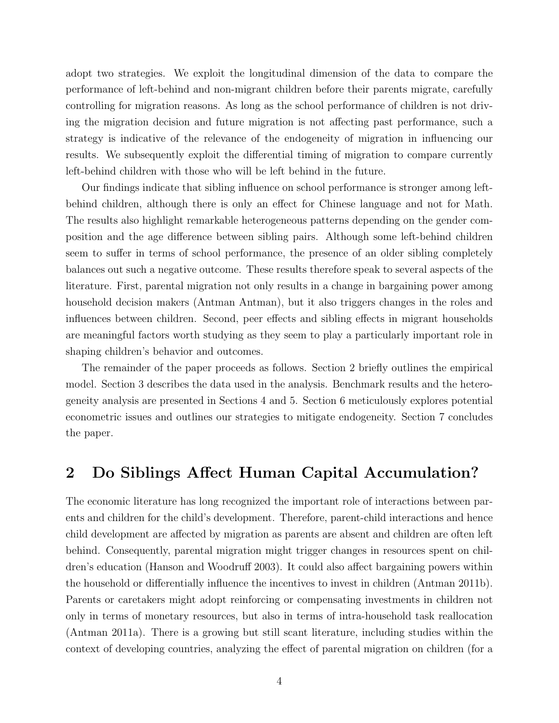adopt two strategies. We exploit the longitudinal dimension of the data to compare the performance of left-behind and non-migrant children before their parents migrate, carefully controlling for migration reasons. As long as the school performance of children is not driving the migration decision and future migration is not affecting past performance, such a strategy is indicative of the relevance of the endogeneity of migration in influencing our results. We subsequently exploit the differential timing of migration to compare currently left-behind children with those who will be left behind in the future.

Our findings indicate that sibling influence on school performance is stronger among leftbehind children, although there is only an effect for Chinese language and not for Math. The results also highlight remarkable heterogeneous patterns depending on the gender composition and the age difference between sibling pairs. Although some left-behind children seem to suffer in terms of school performance, the presence of an older sibling completely balances out such a negative outcome. These results therefore speak to several aspects of the literature. First, parental migration not only results in a change in bargaining power among household decision makers [\(Antman](#page-30-0) [Antman\)](#page-30-0), but it also triggers changes in the roles and influences between children. Second, peer effects and sibling effects in migrant households are meaningful factors worth studying as they seem to play a particularly important role in shaping children's behavior and outcomes.

The remainder of the paper proceeds as follows. Section 2 briefly outlines the empirical model. Section 3 describes the data used in the analysis. Benchmark results and the heterogeneity analysis are presented in Sections 4 and 5. Section 6 meticulously explores potential econometric issues and outlines our strategies to mitigate endogeneity. Section 7 concludes the paper.

#### 2 Do Siblings Affect Human Capital Accumulation?

The economic literature has long recognized the important role of interactions between parents and children for the child's development. Therefore, parent-child interactions and hence child development are affected by migration as parents are absent and children are often left behind. Consequently, parental migration might trigger changes in resources spent on children's education [\(Hanson and Woodruff](#page-31-4) [2003\)](#page-31-4). It could also affect bargaining powers within the household or differentially influence the incentives to invest in children [\(Antman](#page-30-6) [2011b\)](#page-30-6). Parents or caretakers might adopt reinforcing or compensating investments in children not only in terms of monetary resources, but also in terms of intra-household task reallocation [\(Antman](#page-30-7) [2011a\)](#page-30-7). There is a growing but still scant literature, including studies within the context of developing countries, analyzing the effect of parental migration on children (for a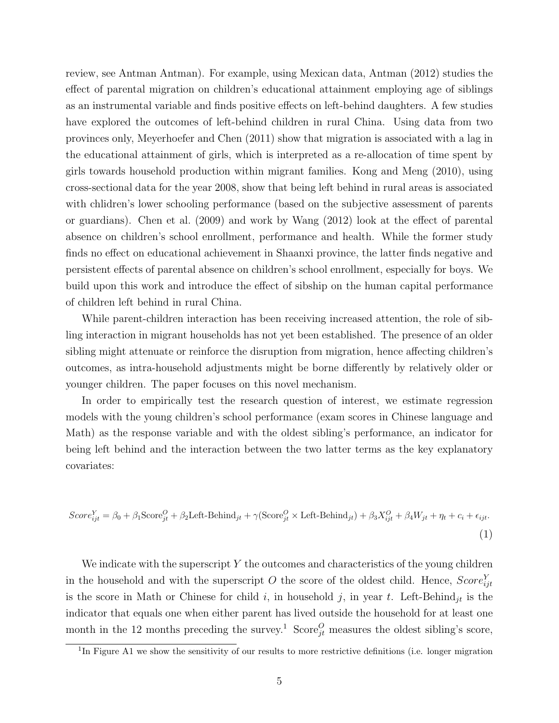review, see [Antman](#page-30-0) [Antman\)](#page-30-0). For example, using Mexican data, [Antman](#page-30-8) [\(2012\)](#page-30-8) studies the effect of parental migration on children's educational attainment employing age of siblings as an instrumental variable and finds positive effects on left-behind daughters. A few studies have explored the outcomes of left-behind children in rural China. Using data from two provinces only, [Meyerhoefer and Chen](#page-31-5) [\(2011\)](#page-31-5) show that migration is associated with a lag in the educational attainment of girls, which is interpreted as a re-allocation of time spent by girls towards household production within migrant families. [Kong and Meng](#page-31-6) [\(2010\)](#page-31-6), using cross-sectional data for the year 2008, show that being left behind in rural areas is associated with chlidren's lower schooling performance (based on the subjective assessment of parents or guardians). [Chen et al.](#page-30-9) [\(2009\)](#page-30-9) and work by [Wang](#page-32-4) [\(2012\)](#page-32-4) look at the effect of parental absence on children's school enrollment, performance and health. While the former study finds no effect on educational achievement in Shaanxi province, the latter finds negative and persistent effects of parental absence on children's school enrollment, especially for boys. We build upon this work and introduce the effect of sibship on the human capital performance of children left behind in rural China.

While parent-children interaction has been receiving increased attention, the role of sibling interaction in migrant households has not yet been established. The presence of an older sibling might attenuate or reinforce the disruption from migration, hence affecting children's outcomes, as intra-household adjustments might be borne differently by relatively older or younger children. The paper focuses on this novel mechanism.

In order to empirically test the research question of interest, we estimate regression models with the young children's school performance (exam scores in Chinese language and Math) as the response variable and with the oldest sibling's performance, an indicator for being left behind and the interaction between the two latter terms as the key explanatory covariates:

<span id="page-5-0"></span>
$$
Score_{ijt}^{Y} = \beta_0 + \beta_1 \text{Score}_{jt}^{O} + \beta_2 \text{Left-Behind}_{jt} + \gamma (\text{Score}_{jt}^{O} \times \text{Left-Behind}_{jt}) + \beta_3 X_{ijt}^{O} + \beta_4 W_{jt} + \eta_t + c_i + \epsilon_{ijt}.
$$
\n(1)

We indicate with the superscript Y the outcomes and characteristics of the young children in the household and with the superscript O the score of the oldest child. Hence,  $Score_{ijt}^{Y}$ is the score in Math or Chinese for child i, in household j, in year t. Left-Behind<sub>jt</sub> is the indicator that equals one when either parent has lived outside the household for at least one month in the 12 months preceding the survey.<sup>1</sup> Score<sub>jt</sub> measures the oldest sibling's score,

<sup>&</sup>lt;sup>1</sup>In Figure [A1](#page-26-0) we show the sensitivity of our results to more restrictive definitions (i.e. longer migration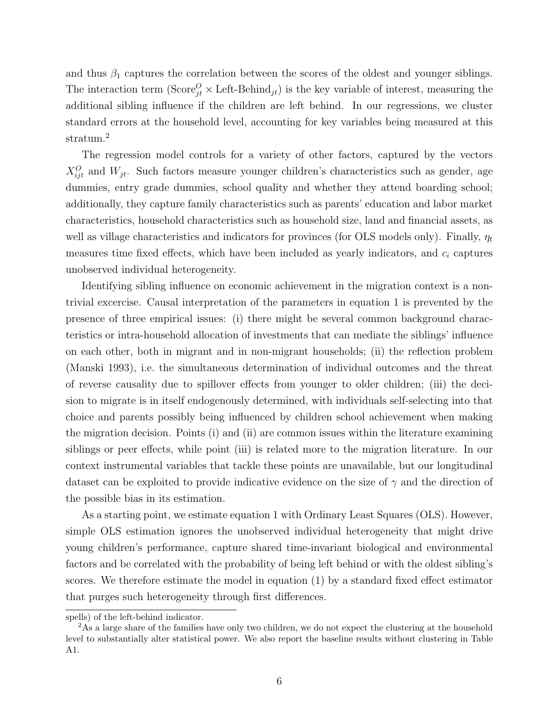and thus  $\beta_1$  captures the correlation between the scores of the oldest and younger siblings. The interaction term  $(\text{Score}_{jt}^O \times \text{Left-Behind}_{jt})$  is the key variable of interest, measuring the additional sibling influence if the children are left behind. In our regressions, we cluster standard errors at the household level, accounting for key variables being measured at this stratum.<sup>2</sup>

The regression model controls for a variety of other factors, captured by the vectors  $X_{ijt}^O$  and  $W_{jt}$ . Such factors measure younger children's characteristics such as gender, age dummies, entry grade dummies, school quality and whether they attend boarding school; additionally, they capture family characteristics such as parents' education and labor market characteristics, household characteristics such as household size, land and financial assets, as well as village characteristics and indicators for provinces (for OLS models only). Finally,  $\eta_t$ measures time fixed effects, which have been included as yearly indicators, and  $c_i$  captures unobserved individual heterogeneity.

Identifying sibling influence on economic achievement in the migration context is a nontrivial excercise. Causal interpretation of the parameters in equation [1](#page-5-0) is prevented by the presence of three empirical issues: (i) there might be several common background characteristics or intra-household allocation of investments that can mediate the siblings' influence on each other, both in migrant and in non-migrant households; (ii) the reflection problem [\(Manski](#page-31-7) [1993\)](#page-31-7), i.e. the simultaneous determination of individual outcomes and the threat of reverse causality due to spillover effects from younger to older children; (iii) the decision to migrate is in itself endogenously determined, with individuals self-selecting into that choice and parents possibly being influenced by children school achievement when making the migration decision. Points (i) and (ii) are common issues within the literature examining siblings or peer effects, while point (iii) is related more to the migration literature. In our context instrumental variables that tackle these points are unavailable, but our longitudinal dataset can be exploited to provide indicative evidence on the size of  $\gamma$  and the direction of the possible bias in its estimation.

As a starting point, we estimate equation [1](#page-5-0) with Ordinary Least Squares (OLS). However, simple OLS estimation ignores the unobserved individual heterogeneity that might drive young children's performance, capture shared time-invariant biological and environmental factors and be correlated with the probability of being left behind or with the oldest sibling's scores. We therefore estimate the model in equation [\(1\)](#page-5-0) by a standard fixed effect estimator that purges such heterogeneity through first differences.

spells) of the left-behind indicator.

<sup>&</sup>lt;sup>2</sup>As a large share of the families have only two children, we do not expect the clustering at the household level to substantially alter statistical power. We also report the baseline results without clustering in Table [A1.](#page-27-0)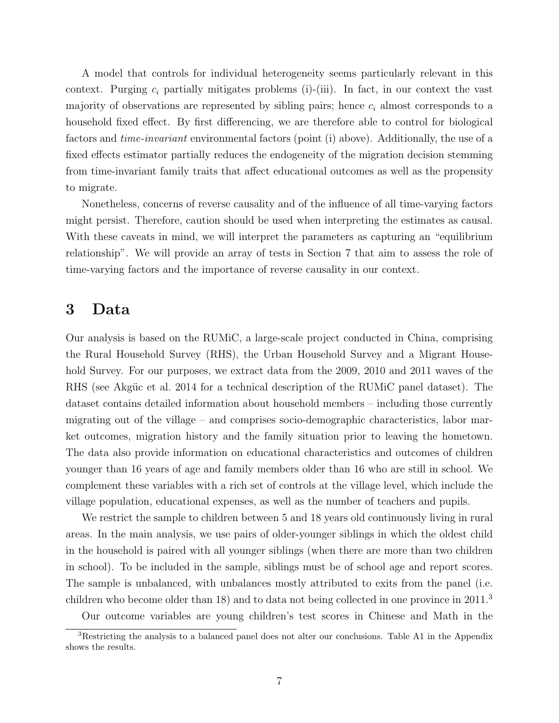A model that controls for individual heterogeneity seems particularly relevant in this context. Purging  $c_i$  partially mitigates problems (i)-(iii). In fact, in our context the vast majority of observations are represented by sibling pairs; hence  $c_i$  almost corresponds to a household fixed effect. By first differencing, we are therefore able to control for biological factors and time-invariant environmental factors (point (i) above). Additionally, the use of a fixed effects estimator partially reduces the endogeneity of the migration decision stemming from time-invariant family traits that affect educational outcomes as well as the propensity to migrate.

Nonetheless, concerns of reverse causality and of the influence of all time-varying factors might persist. Therefore, caution should be used when interpreting the estimates as causal. With these caveats in mind, we will interpret the parameters as capturing an "equilibrium relationship". We will provide an array of tests in Section 7 that aim to assess the role of time-varying factors and the importance of reverse causality in our context.

#### 3 Data

Our analysis is based on the RUMiC, a large-scale project conducted in China, comprising the Rural Household Survey (RHS), the Urban Household Survey and a Migrant Household Survey. For our purposes, we extract data from the 2009, 2010 and 2011 waves of the RHS (see Akgüc et al. [2014](#page-30-10) for a technical description of the RUMiC panel dataset). The dataset contains detailed information about household members – including those currently migrating out of the village – and comprises socio-demographic characteristics, labor market outcomes, migration history and the family situation prior to leaving the hometown. The data also provide information on educational characteristics and outcomes of children younger than 16 years of age and family members older than 16 who are still in school. We complement these variables with a rich set of controls at the village level, which include the village population, educational expenses, as well as the number of teachers and pupils.

We restrict the sample to children between 5 and 18 years old continuously living in rural areas. In the main analysis, we use pairs of older-younger siblings in which the oldest child in the household is paired with all younger siblings (when there are more than two children in school). To be included in the sample, siblings must be of school age and report scores. The sample is unbalanced, with unbalances mostly attributed to exits from the panel (i.e. children who become older than 18) and to data not being collected in one province in 2011.<sup>3</sup>

Our outcome variables are young children's test scores in Chinese and Math in the

<sup>3</sup>Restricting the analysis to a balanced panel does not alter our conclusions. Table [A1](#page-27-0) in the Appendix shows the results.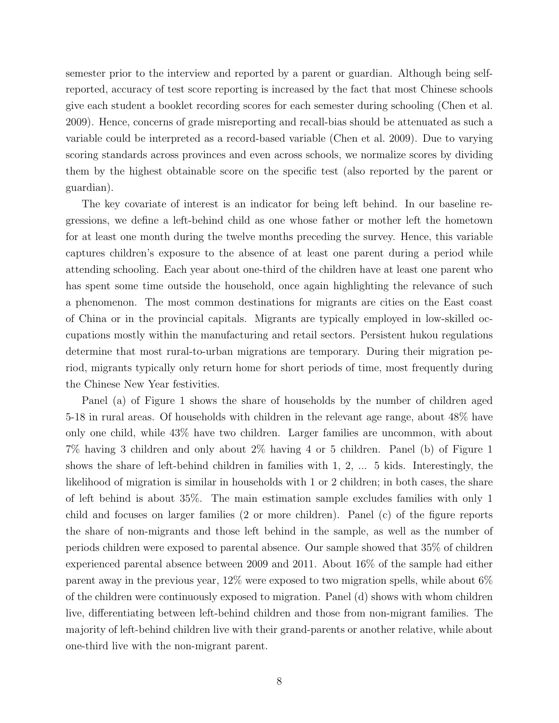semester prior to the interview and reported by a parent or guardian. Although being selfreported, accuracy of test score reporting is increased by the fact that most Chinese schools give each student a booklet recording scores for each semester during schooling [\(Chen et al.](#page-30-9) [2009\)](#page-30-9). Hence, concerns of grade misreporting and recall-bias should be attenuated as such a variable could be interpreted as a record-based variable [\(Chen et al.](#page-30-9) [2009\)](#page-30-9). Due to varying scoring standards across provinces and even across schools, we normalize scores by dividing them by the highest obtainable score on the specific test (also reported by the parent or guardian).

The key covariate of interest is an indicator for being left behind. In our baseline regressions, we define a left-behind child as one whose father or mother left the hometown for at least one month during the twelve months preceding the survey. Hence, this variable captures children's exposure to the absence of at least one parent during a period while attending schooling. Each year about one-third of the children have at least one parent who has spent some time outside the household, once again highlighting the relevance of such a phenomenon. The most common destinations for migrants are cities on the East coast of China or in the provincial capitals. Migrants are typically employed in low-skilled occupations mostly within the manufacturing and retail sectors. Persistent hukou regulations determine that most rural-to-urban migrations are temporary. During their migration period, migrants typically only return home for short periods of time, most frequently during the Chinese New Year festivities.

Panel (a) of Figure [1](#page-19-0) shows the share of households by the number of children aged 5-18 in rural areas. Of households with children in the relevant age range, about 48% have only one child, while 43% have two children. Larger families are uncommon, with about 7% having 3 children and only about 2% having 4 or 5 children. Panel (b) of Figure [1](#page-19-0) shows the share of left-behind children in families with 1, 2, ... 5 kids. Interestingly, the likelihood of migration is similar in households with 1 or 2 children; in both cases, the share of left behind is about 35%. The main estimation sample excludes families with only 1 child and focuses on larger families (2 or more children). Panel (c) of the figure reports the share of non-migrants and those left behind in the sample, as well as the number of periods children were exposed to parental absence. Our sample showed that 35% of children experienced parental absence between 2009 and 2011. About 16% of the sample had either parent away in the previous year, 12% were exposed to two migration spells, while about 6% of the children were continuously exposed to migration. Panel (d) shows with whom children live, differentiating between left-behind children and those from non-migrant families. The majority of left-behind children live with their grand-parents or another relative, while about one-third live with the non-migrant parent.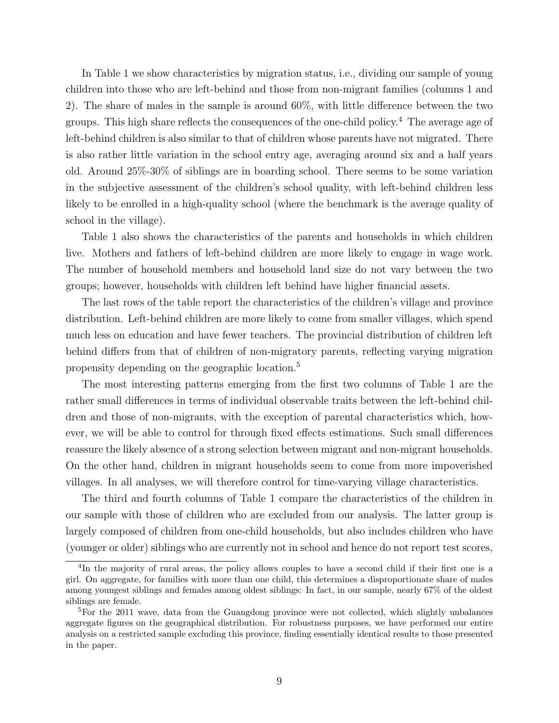In Table [1](#page-20-0) we show characteristics by migration status, i.e., dividing our sample of young children into those who are left-behind and those from non-migrant families (columns 1 and 2). The share of males in the sample is around 60%, with little difference between the two groups. This high share reflects the consequences of the one-child policy.<sup>4</sup> The average age of left-behind children is also similar to that of children whose parents have not migrated. There is also rather little variation in the school entry age, averaging around six and a half years old. Around 25%-30% of siblings are in boarding school. There seems to be some variation in the subjective assessment of the children's school quality, with left-behind children less likely to be enrolled in a high-quality school (where the benchmark is the average quality of school in the village).

Table [1](#page-20-0) also shows the characteristics of the parents and households in which children live. Mothers and fathers of left-behind children are more likely to engage in wage work. The number of household members and household land size do not vary between the two groups; however, households with children left behind have higher financial assets.

The last rows of the table report the characteristics of the children's village and province distribution. Left-behind children are more likely to come from smaller villages, which spend much less on education and have fewer teachers. The provincial distribution of children left behind differs from that of children of non-migratory parents, reflecting varying migration propensity depending on the geographic location.<sup>5</sup>

The most interesting patterns emerging from the first two columns of Table [1](#page-20-0) are the rather small differences in terms of individual observable traits between the left-behind children and those of non-migrants, with the exception of parental characteristics which, however, we will be able to control for through fixed effects estimations. Such small differences reassure the likely absence of a strong selection between migrant and non-migrant households. On the other hand, children in migrant households seem to come from more impoverished villages. In all analyses, we will therefore control for time-varying village characteristics.

The third and fourth columns of Table [1](#page-20-0) compare the characteristics of the children in our sample with those of children who are excluded from our analysis. The latter group is largely composed of children from one-child households, but also includes children who have (younger or older) siblings who are currently not in school and hence do not report test scores,

<sup>&</sup>lt;sup>4</sup>In the majority of rural areas, the policy allows couples to have a second child if their first one is a girl. On aggregate, for families with more than one child, this determines a disproportionate share of males among youngest siblings and females among oldest siblings: In fact, in our sample, nearly 67% of the oldest siblings are female.

<sup>&</sup>lt;sup>5</sup>For the 2011 wave, data from the Guangdong province were not collected, which slightly unbalances aggregate figures on the geographical distribution. For robustness purposes, we have performed our entire analysis on a restricted sample excluding this province, finding essentially identical results to those presented in the paper.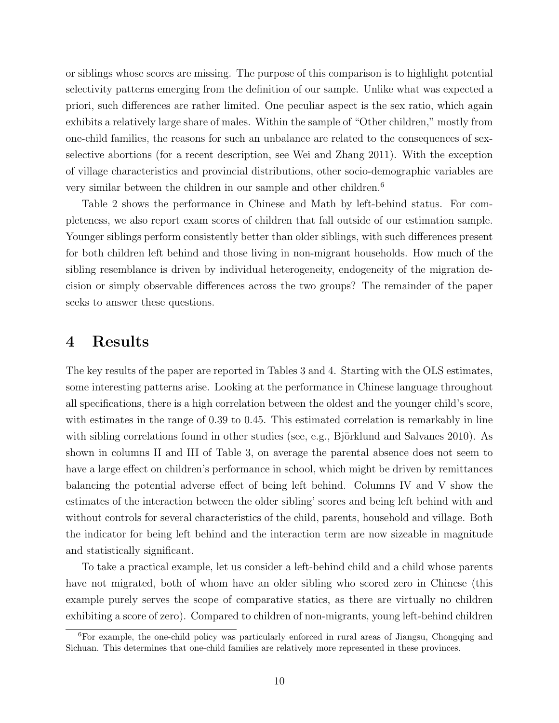or siblings whose scores are missing. The purpose of this comparison is to highlight potential selectivity patterns emerging from the definition of our sample. Unlike what was expected a priori, such differences are rather limited. One peculiar aspect is the sex ratio, which again exhibits a relatively large share of males. Within the sample of "Other children," mostly from one-child families, the reasons for such an unbalance are related to the consequences of sexselective abortions (for a recent description, see [Wei and Zhang](#page-32-5) [2011\)](#page-32-5). With the exception of village characteristics and provincial distributions, other socio-demographic variables are very similar between the children in our sample and other children.<sup>6</sup>

Table [2](#page-21-0) shows the performance in Chinese and Math by left-behind status. For completeness, we also report exam scores of children that fall outside of our estimation sample. Younger siblings perform consistently better than older siblings, with such differences present for both children left behind and those living in non-migrant households. How much of the sibling resemblance is driven by individual heterogeneity, endogeneity of the migration decision or simply observable differences across the two groups? The remainder of the paper seeks to answer these questions.

#### 4 Results

The key results of the paper are reported in Tables [3](#page-22-0) and [4.](#page-23-0) Starting with the OLS estimates, some interesting patterns arise. Looking at the performance in Chinese language throughout all specifications, there is a high correlation between the oldest and the younger child's score, with estimates in the range of 0.39 to 0.45. This estimated correlation is remarkably in line with sibling correlations found in other studies (see, e.g., Björklund and Salvanes [2010\)](#page-30-11). As shown in columns II and III of Table [3,](#page-22-0) on average the parental absence does not seem to have a large effect on children's performance in school, which might be driven by remittances balancing the potential adverse effect of being left behind. Columns IV and V show the estimates of the interaction between the older sibling' scores and being left behind with and without controls for several characteristics of the child, parents, household and village. Both the indicator for being left behind and the interaction term are now sizeable in magnitude and statistically significant.

To take a practical example, let us consider a left-behind child and a child whose parents have not migrated, both of whom have an older sibling who scored zero in Chinese (this example purely serves the scope of comparative statics, as there are virtually no children exhibiting a score of zero). Compared to children of non-migrants, young left-behind children

<sup>6</sup>For example, the one-child policy was particularly enforced in rural areas of Jiangsu, Chongqing and Sichuan. This determines that one-child families are relatively more represented in these provinces.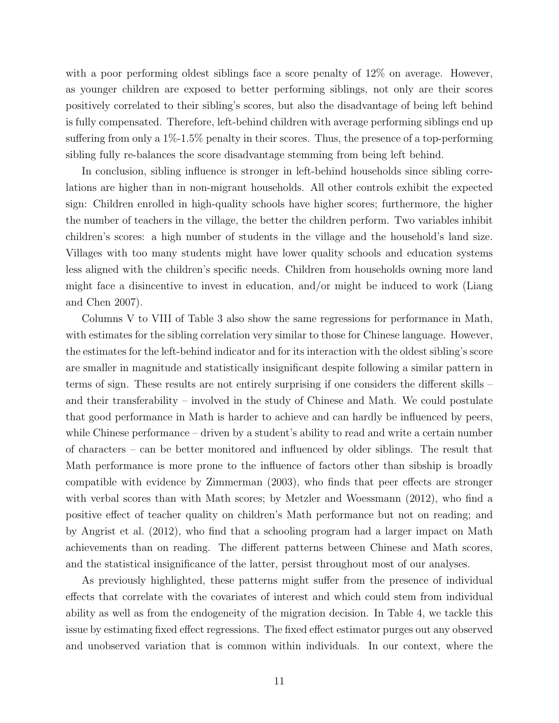with a poor performing oldest siblings face a score penalty of 12\% on average. However, as younger children are exposed to better performing siblings, not only are their scores positively correlated to their sibling's scores, but also the disadvantage of being left behind is fully compensated. Therefore, left-behind children with average performing siblings end up suffering from only a 1%-1.5% penalty in their scores. Thus, the presence of a top-performing sibling fully re-balances the score disadvantage stemming from being left behind.

In conclusion, sibling influence is stronger in left-behind households since sibling correlations are higher than in non-migrant households. All other controls exhibit the expected sign: Children enrolled in high-quality schools have higher scores; furthermore, the higher the number of teachers in the village, the better the children perform. Two variables inhibit children's scores: a high number of students in the village and the household's land size. Villages with too many students might have lower quality schools and education systems less aligned with the children's specific needs. Children from households owning more land might face a disincentive to invest in education, and/or might be induced to work [\(Liang](#page-31-8) [and Chen](#page-31-8) [2007\)](#page-31-8).

Columns V to VIII of Table [3](#page-22-0) also show the same regressions for performance in Math, with estimates for the sibling correlation very similar to those for Chinese language. However, the estimates for the left-behind indicator and for its interaction with the oldest sibling's score are smaller in magnitude and statistically insignificant despite following a similar pattern in terms of sign. These results are not entirely surprising if one considers the different skills – and their transferability – involved in the study of Chinese and Math. We could postulate that good performance in Math is harder to achieve and can hardly be influenced by peers, while Chinese performance – driven by a student's ability to read and write a certain number of characters – can be better monitored and influenced by older siblings. The result that Math performance is more prone to the influence of factors other than sibship is broadly compatible with evidence by [Zimmerman](#page-32-6) [\(2003\)](#page-32-6), who finds that peer effects are stronger with verbal scores than with Math scores; by [Metzler and Woessmann](#page-31-9) [\(2012\)](#page-31-9), who find a positive effect of teacher quality on children's Math performance but not on reading; and by [Angrist et al.](#page-30-12) [\(2012\)](#page-30-12), who find that a schooling program had a larger impact on Math achievements than on reading. The different patterns between Chinese and Math scores, and the statistical insignificance of the latter, persist throughout most of our analyses.

As previously highlighted, these patterns might suffer from the presence of individual effects that correlate with the covariates of interest and which could stem from individual ability as well as from the endogeneity of the migration decision. In Table [4,](#page-23-0) we tackle this issue by estimating fixed effect regressions. The fixed effect estimator purges out any observed and unobserved variation that is common within individuals. In our context, where the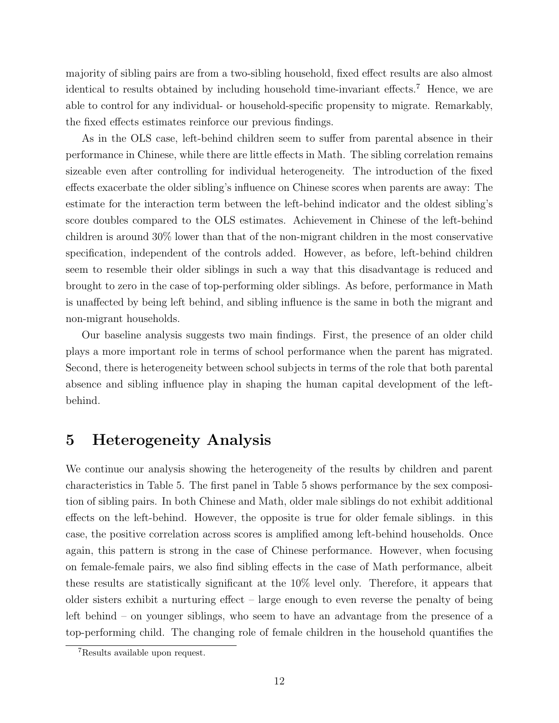majority of sibling pairs are from a two-sibling household, fixed effect results are also almost identical to results obtained by including household time-invariant effects.<sup>7</sup> Hence, we are able to control for any individual- or household-specific propensity to migrate. Remarkably, the fixed effects estimates reinforce our previous findings.

As in the OLS case, left-behind children seem to suffer from parental absence in their performance in Chinese, while there are little effects in Math. The sibling correlation remains sizeable even after controlling for individual heterogeneity. The introduction of the fixed effects exacerbate the older sibling's influence on Chinese scores when parents are away: The estimate for the interaction term between the left-behind indicator and the oldest sibling's score doubles compared to the OLS estimates. Achievement in Chinese of the left-behind children is around 30% lower than that of the non-migrant children in the most conservative specification, independent of the controls added. However, as before, left-behind children seem to resemble their older siblings in such a way that this disadvantage is reduced and brought to zero in the case of top-performing older siblings. As before, performance in Math is unaffected by being left behind, and sibling influence is the same in both the migrant and non-migrant households.

Our baseline analysis suggests two main findings. First, the presence of an older child plays a more important role in terms of school performance when the parent has migrated. Second, there is heterogeneity between school subjects in terms of the role that both parental absence and sibling influence play in shaping the human capital development of the leftbehind.

#### 5 Heterogeneity Analysis

We continue our analysis showing the heterogeneity of the results by children and parent characteristics in Table [5.](#page-24-0) The first panel in Table [5](#page-24-0) shows performance by the sex composition of sibling pairs. In both Chinese and Math, older male siblings do not exhibit additional effects on the left-behind. However, the opposite is true for older female siblings. in this case, the positive correlation across scores is amplified among left-behind households. Once again, this pattern is strong in the case of Chinese performance. However, when focusing on female-female pairs, we also find sibling effects in the case of Math performance, albeit these results are statistically significant at the 10% level only. Therefore, it appears that older sisters exhibit a nurturing effect – large enough to even reverse the penalty of being left behind – on younger siblings, who seem to have an advantage from the presence of a top-performing child. The changing role of female children in the household quantifies the

<sup>7</sup>Results available upon request.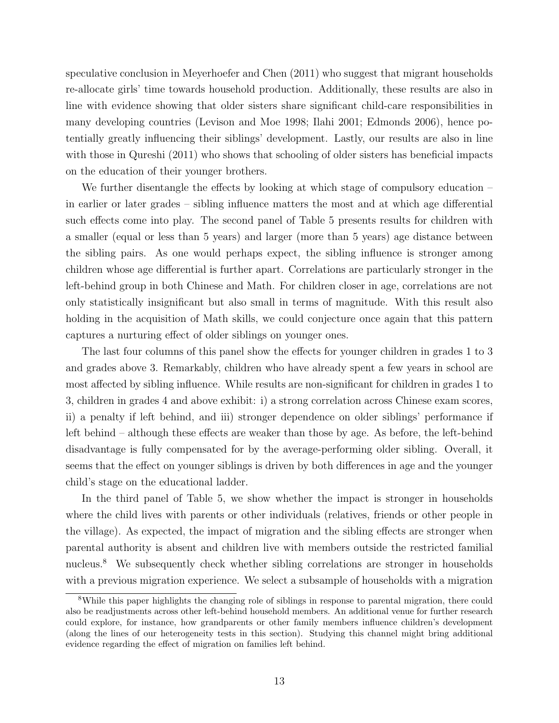speculative conclusion in [Meyerhoefer and Chen](#page-31-5) [\(2011\)](#page-31-5) who suggest that migrant households re-allocate girls' time towards household production. Additionally, these results are also in line with evidence showing that older sisters share significant child-care responsibilities in many developing countries [\(Levison and Moe](#page-31-10) [1998;](#page-31-10) [Ilahi](#page-31-11) [2001;](#page-31-11) [Edmonds](#page-31-12) [2006\)](#page-31-12), hence potentially greatly influencing their siblings' development. Lastly, our results are also in line with those in [Qureshi](#page-32-7) [\(2011\)](#page-32-7) who shows that schooling of older sisters has beneficial impacts on the education of their younger brothers.

We further disentangle the effects by looking at which stage of compulsory education – in earlier or later grades – sibling influence matters the most and at which age differential such effects come into play. The second panel of Table [5](#page-24-0) presents results for children with a smaller (equal or less than 5 years) and larger (more than 5 years) age distance between the sibling pairs. As one would perhaps expect, the sibling influence is stronger among children whose age differential is further apart. Correlations are particularly stronger in the left-behind group in both Chinese and Math. For children closer in age, correlations are not only statistically insignificant but also small in terms of magnitude. With this result also holding in the acquisition of Math skills, we could conjecture once again that this pattern captures a nurturing effect of older siblings on younger ones.

The last four columns of this panel show the effects for younger children in grades 1 to 3 and grades above 3. Remarkably, children who have already spent a few years in school are most affected by sibling influence. While results are non-significant for children in grades 1 to 3, children in grades 4 and above exhibit: i) a strong correlation across Chinese exam scores, ii) a penalty if left behind, and iii) stronger dependence on older siblings' performance if left behind – although these effects are weaker than those by age. As before, the left-behind disadvantage is fully compensated for by the average-performing older sibling. Overall, it seems that the effect on younger siblings is driven by both differences in age and the younger child's stage on the educational ladder.

In the third panel of Table [5,](#page-24-0) we show whether the impact is stronger in households where the child lives with parents or other individuals (relatives, friends or other people in the village). As expected, the impact of migration and the sibling effects are stronger when parental authority is absent and children live with members outside the restricted familial nucleus.<sup>8</sup> We subsequently check whether sibling correlations are stronger in households with a previous migration experience. We select a subsample of households with a migration

<sup>8</sup>While this paper highlights the changing role of siblings in response to parental migration, there could also be readjustments across other left-behind household members. An additional venue for further research could explore, for instance, how grandparents or other family members influence children's development (along the lines of our heterogeneity tests in this section). Studying this channel might bring additional evidence regarding the effect of migration on families left behind.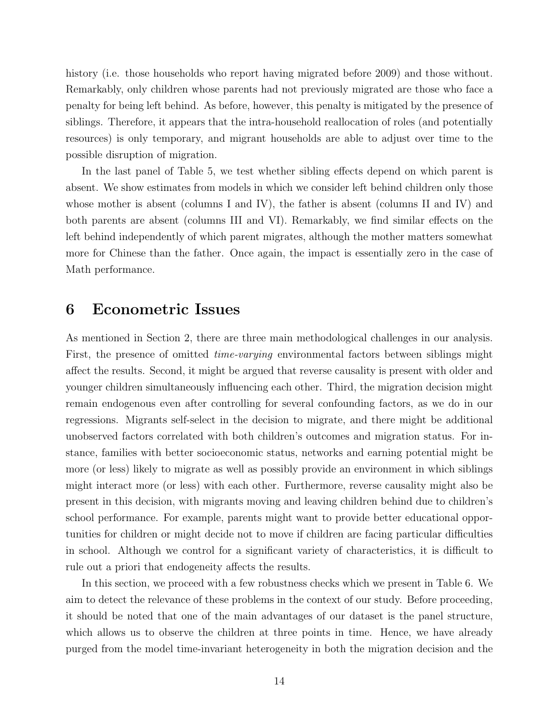history (i.e. those households who report having migrated before 2009) and those without. Remarkably, only children whose parents had not previously migrated are those who face a penalty for being left behind. As before, however, this penalty is mitigated by the presence of siblings. Therefore, it appears that the intra-household reallocation of roles (and potentially resources) is only temporary, and migrant households are able to adjust over time to the possible disruption of migration.

In the last panel of Table [5,](#page-24-0) we test whether sibling effects depend on which parent is absent. We show estimates from models in which we consider left behind children only those whose mother is absent (columns I and IV), the father is absent (columns II and IV) and both parents are absent (columns III and VI). Remarkably, we find similar effects on the left behind independently of which parent migrates, although the mother matters somewhat more for Chinese than the father. Once again, the impact is essentially zero in the case of Math performance.

#### 6 Econometric Issues

As mentioned in Section 2, there are three main methodological challenges in our analysis. First, the presence of omitted *time-varying* environmental factors between siblings might affect the results. Second, it might be argued that reverse causality is present with older and younger children simultaneously influencing each other. Third, the migration decision might remain endogenous even after controlling for several confounding factors, as we do in our regressions. Migrants self-select in the decision to migrate, and there might be additional unobserved factors correlated with both children's outcomes and migration status. For instance, families with better socioeconomic status, networks and earning potential might be more (or less) likely to migrate as well as possibly provide an environment in which siblings might interact more (or less) with each other. Furthermore, reverse causality might also be present in this decision, with migrants moving and leaving children behind due to children's school performance. For example, parents might want to provide better educational opportunities for children or might decide not to move if children are facing particular difficulties in school. Although we control for a significant variety of characteristics, it is difficult to rule out a priori that endogeneity affects the results.

In this section, we proceed with a few robustness checks which we present in Table [6.](#page-25-0) We aim to detect the relevance of these problems in the context of our study. Before proceeding, it should be noted that one of the main advantages of our dataset is the panel structure, which allows us to observe the children at three points in time. Hence, we have already purged from the model time-invariant heterogeneity in both the migration decision and the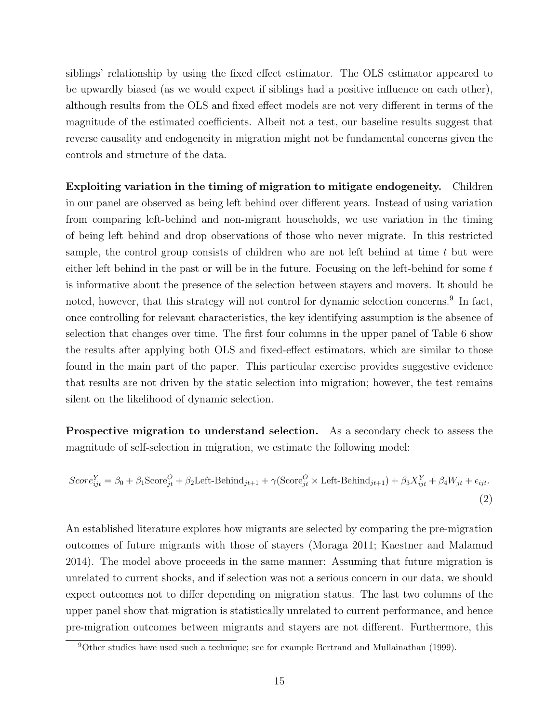siblings' relationship by using the fixed effect estimator. The OLS estimator appeared to be upwardly biased (as we would expect if siblings had a positive influence on each other), although results from the OLS and fixed effect models are not very different in terms of the magnitude of the estimated coefficients. Albeit not a test, our baseline results suggest that reverse causality and endogeneity in migration might not be fundamental concerns given the controls and structure of the data.

Exploiting variation in the timing of migration to mitigate endogeneity. Children in our panel are observed as being left behind over different years. Instead of using variation from comparing left-behind and non-migrant households, we use variation in the timing of being left behind and drop observations of those who never migrate. In this restricted sample, the control group consists of children who are not left behind at time  $t$  but were either left behind in the past or will be in the future. Focusing on the left-behind for some  $t$ is informative about the presence of the selection between stayers and movers. It should be noted, however, that this strategy will not control for dynamic selection concerns.<sup>9</sup> In fact, once controlling for relevant characteristics, the key identifying assumption is the absence of selection that changes over time. The first four columns in the upper panel of Table [6](#page-25-0) show the results after applying both OLS and fixed-effect estimators, which are similar to those found in the main part of the paper. This particular exercise provides suggestive evidence that results are not driven by the static selection into migration; however, the test remains silent on the likelihood of dynamic selection.

Prospective migration to understand selection. As a secondary check to assess the magnitude of self-selection in migration, we estimate the following model:

<span id="page-15-0"></span>
$$
Score_{ijt}^{Y} = \beta_0 + \beta_1 \text{Score}_{jt}^{O} + \beta_2 \text{Left-Behind}_{jt+1} + \gamma (\text{Score}_{jt}^{O} \times \text{Left-Behind}_{jt+1}) + \beta_3 X_{ijt}^{Y} + \beta_4 W_{jt} + \epsilon_{ijt}.
$$
\n(2)

An established literature explores how migrants are selected by comparing the pre-migration outcomes of future migrants with those of stayers [\(Moraga](#page-31-13) [2011;](#page-31-13) [Kaestner and Malamud](#page-31-14) [2014\)](#page-31-14). The model above proceeds in the same manner: Assuming that future migration is unrelated to current shocks, and if selection was not a serious concern in our data, we should expect outcomes not to differ depending on migration status. The last two columns of the upper panel show that migration is statistically unrelated to current performance, and hence pre-migration outcomes between migrants and stayers are not different. Furthermore, this

<sup>9</sup>Other studies have used such a technique; see for example [Bertrand and Mullainathan](#page-30-13) [\(1999\)](#page-30-13).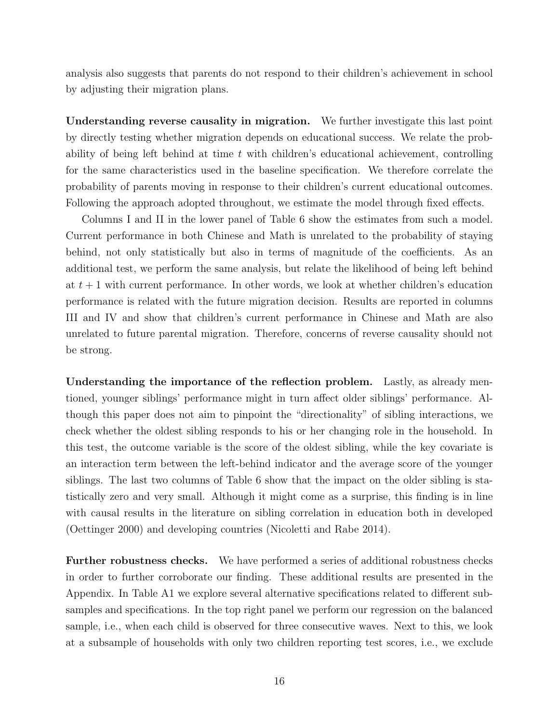analysis also suggests that parents do not respond to their children's achievement in school by adjusting their migration plans.

Understanding reverse causality in migration. We further investigate this last point by directly testing whether migration depends on educational success. We relate the probability of being left behind at time  $t$  with children's educational achievement, controlling for the same characteristics used in the baseline specification. We therefore correlate the probability of parents moving in response to their children's current educational outcomes. Following the approach adopted throughout, we estimate the model through fixed effects.

Columns I and II in the lower panel of Table [6](#page-25-0) show the estimates from such a model. Current performance in both Chinese and Math is unrelated to the probability of staying behind, not only statistically but also in terms of magnitude of the coefficients. As an additional test, we perform the same analysis, but relate the likelihood of being left behind at  $t + 1$  with current performance. In other words, we look at whether children's education performance is related with the future migration decision. Results are reported in columns III and IV and show that children's current performance in Chinese and Math are also unrelated to future parental migration. Therefore, concerns of reverse causality should not be strong.

Understanding the importance of the reflection problem. Lastly, as already mentioned, younger siblings' performance might in turn affect older siblings' performance. Although this paper does not aim to pinpoint the "directionality" of sibling interactions, we check whether the oldest sibling responds to his or her changing role in the household. In this test, the outcome variable is the score of the oldest sibling, while the key covariate is an interaction term between the left-behind indicator and the average score of the younger siblings. The last two columns of Table [6](#page-25-0) show that the impact on the older sibling is statistically zero and very small. Although it might come as a surprise, this finding is in line with causal results in the literature on sibling correlation in education both in developed [\(Oettinger](#page-32-2) [2000\)](#page-32-2) and developing countries [\(Nicoletti and Rabe](#page-31-15) [2014\)](#page-31-15).

Further robustness checks. We have performed a series of additional robustness checks in order to further corroborate our finding. These additional results are presented in the Appendix. In Table [A1](#page-27-0) we explore several alternative specifications related to different subsamples and specifications. In the top right panel we perform our regression on the balanced sample, i.e., when each child is observed for three consecutive waves. Next to this, we look at a subsample of households with only two children reporting test scores, i.e., we exclude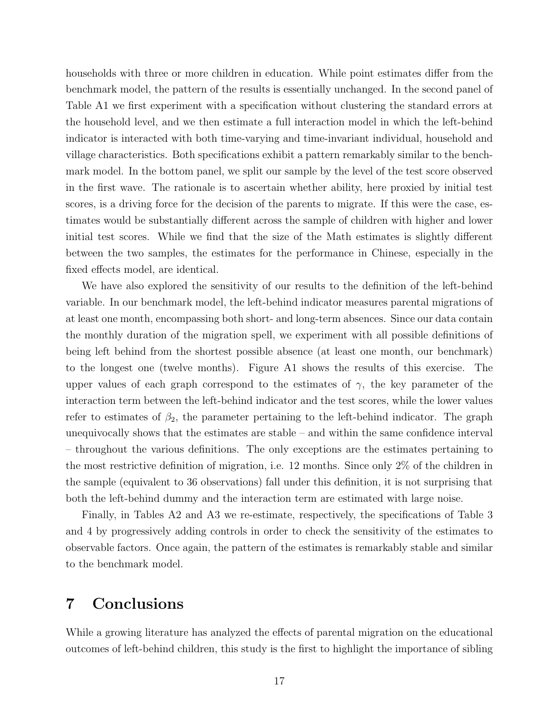households with three or more children in education. While point estimates differ from the benchmark model, the pattern of the results is essentially unchanged. In the second panel of Table [A1](#page-27-0) we first experiment with a specification without clustering the standard errors at the household level, and we then estimate a full interaction model in which the left-behind indicator is interacted with both time-varying and time-invariant individual, household and village characteristics. Both specifications exhibit a pattern remarkably similar to the benchmark model. In the bottom panel, we split our sample by the level of the test score observed in the first wave. The rationale is to ascertain whether ability, here proxied by initial test scores, is a driving force for the decision of the parents to migrate. If this were the case, estimates would be substantially different across the sample of children with higher and lower initial test scores. While we find that the size of the Math estimates is slightly different between the two samples, the estimates for the performance in Chinese, especially in the fixed effects model, are identical.

We have also explored the sensitivity of our results to the definition of the left-behind variable. In our benchmark model, the left-behind indicator measures parental migrations of at least one month, encompassing both short- and long-term absences. Since our data contain the monthly duration of the migration spell, we experiment with all possible definitions of being left behind from the shortest possible absence (at least one month, our benchmark) to the longest one (twelve months). Figure [A1](#page-26-0) shows the results of this exercise. The upper values of each graph correspond to the estimates of  $\gamma$ , the key parameter of the interaction term between the left-behind indicator and the test scores, while the lower values refer to estimates of  $\beta_2$ , the parameter pertaining to the left-behind indicator. The graph unequivocally shows that the estimates are stable – and within the same confidence interval – throughout the various definitions. The only exceptions are the estimates pertaining to the most restrictive definition of migration, i.e. 12 months. Since only 2% of the children in the sample (equivalent to 36 observations) fall under this definition, it is not surprising that both the left-behind dummy and the interaction term are estimated with large noise.

Finally, in Tables [A2](#page-28-0) and [A3](#page-29-0) we re-estimate, respectively, the specifications of Table [3](#page-22-0) and [4](#page-23-0) by progressively adding controls in order to check the sensitivity of the estimates to observable factors. Once again, the pattern of the estimates is remarkably stable and similar to the benchmark model.

#### 7 Conclusions

While a growing literature has analyzed the effects of parental migration on the educational outcomes of left-behind children, this study is the first to highlight the importance of sibling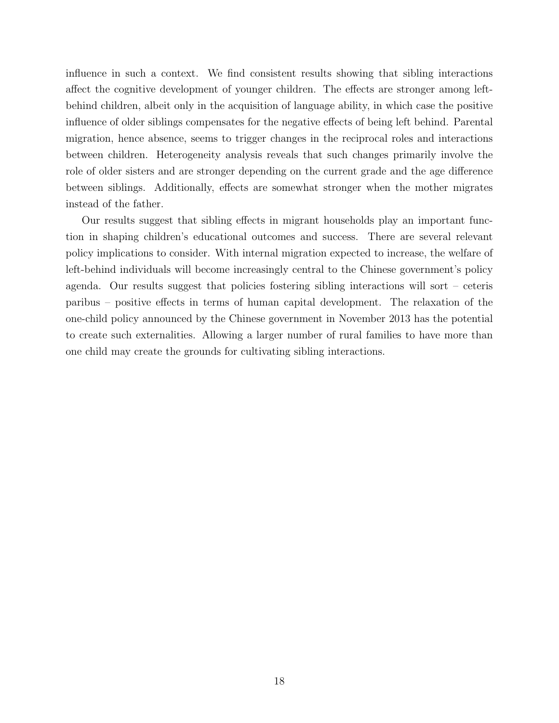influence in such a context. We find consistent results showing that sibling interactions affect the cognitive development of younger children. The effects are stronger among leftbehind children, albeit only in the acquisition of language ability, in which case the positive influence of older siblings compensates for the negative effects of being left behind. Parental migration, hence absence, seems to trigger changes in the reciprocal roles and interactions between children. Heterogeneity analysis reveals that such changes primarily involve the role of older sisters and are stronger depending on the current grade and the age difference between siblings. Additionally, effects are somewhat stronger when the mother migrates instead of the father.

Our results suggest that sibling effects in migrant households play an important function in shaping children's educational outcomes and success. There are several relevant policy implications to consider. With internal migration expected to increase, the welfare of left-behind individuals will become increasingly central to the Chinese government's policy agenda. Our results suggest that policies fostering sibling interactions will sort – ceteris paribus – positive effects in terms of human capital development. The relaxation of the one-child policy announced by the Chinese government in November 2013 has the potential to create such externalities. Allowing a larger number of rural families to have more than one child may create the grounds for cultivating sibling interactions.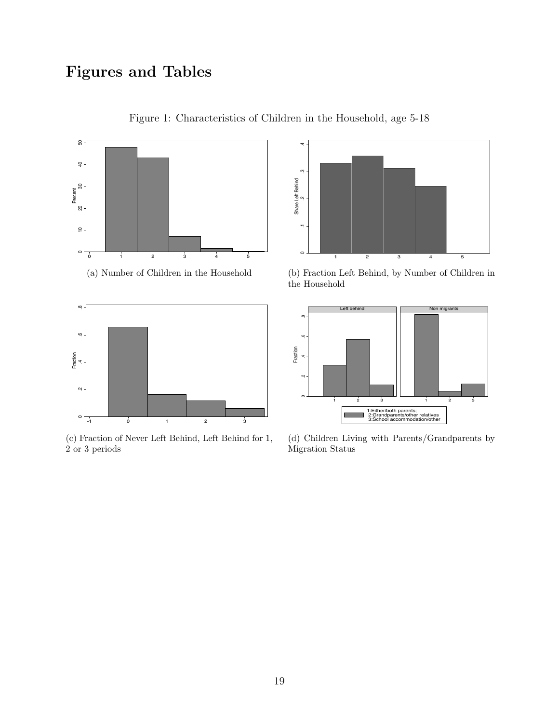## <span id="page-19-0"></span>Figures and Tables





(c) Fraction of Never Left Behind, Left Behind for 1, 2 or 3 periods



(b) Fraction Left Behind, by Number of Children in the Household



(d) Children Living with Parents/Grandparents by Migration Status

Figure 1: Characteristics of Children in the Household, age 5-18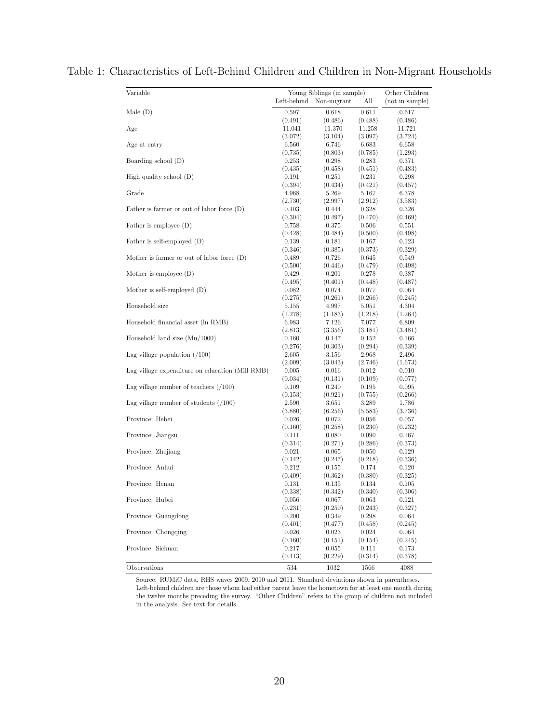| Variable                                        | Young Siblings (in sample)<br>Left-behind | All                  | Other Children<br>(not in sample) |                  |
|-------------------------------------------------|-------------------------------------------|----------------------|-----------------------------------|------------------|
| Male $(D)$                                      | 0.597                                     | Non-migrant<br>0.618 | 0.611                             | 0.617            |
|                                                 | (0.491)                                   | (0.486)              | (0.488)                           | (0.486)          |
| Age                                             | 11.041                                    | 11.370               | 11.258                            | 11.721           |
|                                                 | (3.072)                                   | (3.104)              | (3.097)                           | (3.724)          |
| Age at entry                                    | 6.560                                     | 6.746                | 6.683                             | 6.658            |
|                                                 | (0.735)                                   | (0.803)              | (0.785)                           | (1.293)          |
| Boarding school (D)                             | 0.253                                     | 0.298                | 0.283                             | 0.371            |
|                                                 | (0.435)                                   | (0.458)              | (0.451)                           | (0.483)          |
| High quality school $(D)$                       | 0.191                                     | 0.251                | 0.231                             | 0.298            |
| Grade                                           | (0.394)                                   | (0.434)              | (0.421)                           | (0.457)          |
|                                                 | 4.968<br>(2.730)                          | 5.269<br>(2.997)     | 5.167<br>(2.912)                  | 6.378<br>(3.583) |
| Father is farmer or out of labor force $(D)$    | 0.103                                     | 0.444                | 0.328                             | 0.326            |
|                                                 | (0.304)                                   | (0.497)              | (0.470)                           | (0.469)          |
| Father is employee $(D)$                        | 0.758                                     | 0.375                | 0.506                             | 0.551            |
|                                                 | (0.428)                                   | (0.484)              | (0.500)                           | (0.498)          |
| Father is self-employed (D)                     | 0.139                                     | 0.181                | 0.167                             | 0.123            |
|                                                 | (0.346)                                   | (0.385)              | (0.373)                           | (0.329)          |
| Mother is farmer or out of labor force $(D)$    | 0.489                                     | 0.726                | 0.645                             | 0.549            |
|                                                 | (0.500)                                   | (0.446)              | (0.479)                           | (0.498)          |
| Mother is employee $(D)$                        | 0.429                                     | 0.201                | 0.278                             | 0.387            |
|                                                 | (0.495)                                   | (0.401)              | (0.448)                           | (0.487)          |
| Mother is self-employed $(D)$                   | 0.082                                     | 0.074                | 0.077                             | 0.064            |
|                                                 | (0.275)                                   | (0.261)              | (0.266)                           | (0.245)          |
| Household size                                  | 5.155                                     | 4.997                | 5.051                             | 4.304            |
|                                                 | (1.278)                                   | (1.183)              | (1.218)                           | (1.264)          |
| Household financial asset (ln RMB)              | 6.983                                     | 7.126                | 7.077                             | 6.809            |
|                                                 | (2.813)                                   | (3.356)              | (3.181)                           | (3.481)          |
| Household land size $(Mu/1000)$                 | 0.160                                     | 0.147                | 0.152                             | 0.166            |
|                                                 | (0.276)                                   | (0.303)              | (0.294)                           | (0.339)          |
| Lag village population $( / 100 )$              | 2.605                                     | 3.156                | 2.968                             | 2.496            |
|                                                 | (2.009)                                   | (3.043)              | (2.746)                           | (1.673)          |
| Lag village expenditure on education (Mill RMB) | 0.005                                     | 0.016                | 0.012                             | 0.010            |
|                                                 | (0.034)                                   | (0.131)              | (0.109)                           | (0.077)          |
| Lag village number of teachers $(100)$          | 0.109                                     | 0.240                | 0.195                             | 0.095            |
|                                                 | (0.153)                                   | (0.921)              | (0.755)                           | (0.266)          |
| Lag village number of students $(100)$          | 2.590                                     | 3.651                | 3.289                             | 1.786            |
| Province: Hebei                                 | (3.880)<br>0.026                          | (6.256)              | (5.583)                           | (3.736)<br>0.057 |
|                                                 | (0.160)                                   | 0.072<br>(0.258)     | 0.056<br>(0.230)                  | (0.232)          |
| Province: Jiangsu                               | 0.111                                     | 0.080                | 0.090                             | 0.167            |
|                                                 | (0.314)                                   | (0.271)              | (0.286)                           | (0.373)          |
| Province: Zhejiang                              | 0.021                                     | 0.065                | 0.050                             | 0.129            |
|                                                 | (0.142)                                   | (0.247)              | (0.218)                           | (0.336)          |
| Province: Anhui                                 | 0.212                                     | 0.155                | 0.174                             | 0.120            |
|                                                 | (0.409)                                   | (0.362)              | (0.380)                           | (0.325)          |
| Province: Henan                                 | 0.131                                     | 0.135                | 0.134                             | 0.105            |
|                                                 | (0.338)                                   | (0.342)              | (0.340)                           | (0.306)          |
| Province: Hubei                                 | 0.056                                     | 0.067                | 0.063                             | 0.121            |
|                                                 | (0.231)                                   | (0.250)              | (0.243)                           | (0.327)          |
| Province: Guangdong                             | 0.200                                     | 0.349                | 0.298                             | 0.064            |
|                                                 | (0.401)                                   | (0.477)              | (0.458)                           | (0.245)          |
| Province: Chongqing                             | 0.026                                     | 0.023                | 0.024                             | 0.064            |
|                                                 | (0.160)                                   | (0.151)              | (0.154)                           | (0.245)          |
| Province: Sichuan                               | 0.217                                     | 0.055                | 0.111                             | 0.173            |
|                                                 | (0.413)                                   | (0.229)              | (0.314)                           | (0.378)          |
| Observations                                    | 534                                       | 1032                 | 1566                              | 4088             |

<span id="page-20-0"></span>Table 1: Characteristics of Left-Behind Children and Children in Non-Migrant Households

Source: RUMiC data, RHS waves 2009, 2010 and 2011. Standard deviations shown in parentheses. Left-behind children are those whom had either parent leave the hometown for at least one month during the twelve months preceding the survey. "Other Children" refers to the group of children not included in the analysis. See text for details.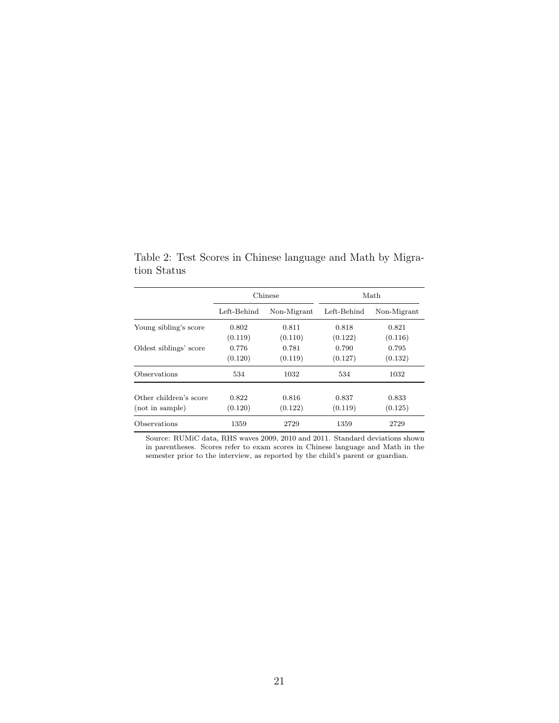|                        |             | Chinese     |             | Math        |  |
|------------------------|-------------|-------------|-------------|-------------|--|
|                        | Left-Behind | Non-Migrant | Left-Behind | Non-Migrant |  |
| Young sibling's score  | 0.802       | 0.811       | 0.818       | 0.821       |  |
|                        | (0.119)     | (0.110)     | (0.122)     | (0.116)     |  |
| Oldest siblings' score | 0.776       | 0.781       | 0.790       | 0.795       |  |
|                        | (0.120)     | (0.119)     | (0.127)     | (0.132)     |  |
| Observations           | 534         | 1032        | 534         | 1032        |  |
| Other children's score | 0.822       | 0.816       | 0.837       | 0.833       |  |
| (not in sample)        | (0.120)     | (0.122)     | (0.119)     | (0.125)     |  |
| Observations           | 1359        | 2729        | 1359        | 2729        |  |

<span id="page-21-0"></span>Table 2: Test Scores in Chinese language and Math by Migration Status

Source: RUMiC data, RHS waves 2009, 2010 and 2011. Standard deviations shown in parentheses. Scores refer to exam scores in Chinese language and Math in the semester prior to the interview, as reported by the child's parent or guardian.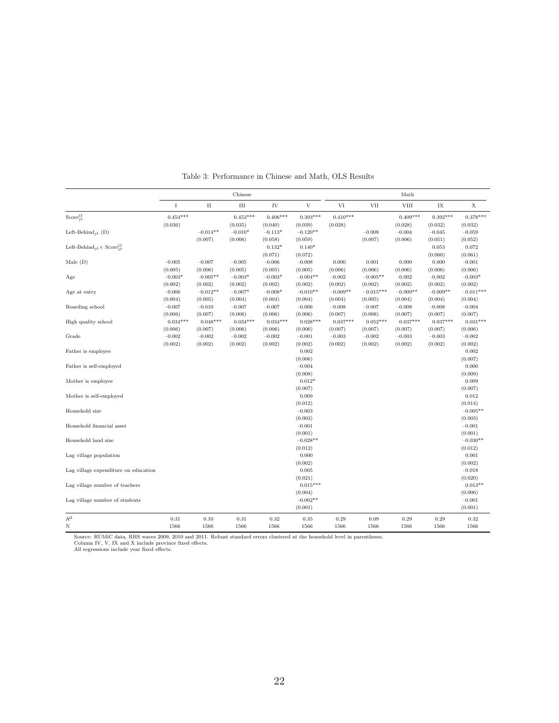<span id="page-22-0"></span>

|                                                                     | Chinese    |            |            |            |                     | Math       |             |             |            |                       |
|---------------------------------------------------------------------|------------|------------|------------|------------|---------------------|------------|-------------|-------------|------------|-----------------------|
|                                                                     | I          | $\rm II$   | Ш          | IV         | V                   | VI         | VII         | <b>VIII</b> | IX         | X                     |
| Score $_{it}^O$                                                     | $0.454***$ |            | $0.453***$ | $0.406***$ | $0.393***$          | $0.410***$ |             | $0.409***$  | $0.392***$ | $0.378***$            |
|                                                                     | (0.036)    |            | (0.035)    | (0.040)    | (0.039)             | (0.028)    |             | (0.028)     | (0.032)    | (0.032)               |
| Left-Behind <sub>it</sub> (D)                                       |            | $-0.014**$ | $-0.010*$  | $-0.113*$  | $-0.120**$          |            | $-0.008$    | $-0.004$    | $-0.045$   | $-0.059$              |
|                                                                     |            | (0.007)    | (0.006)    | (0.058)    | (0.059)             |            | (0.007)     | (0.006)     | (0.051)    | (0.052)               |
| Left-Behind <sub>jt</sub> × Score <sup><i>O</i></sup> <sub>it</sub> |            |            |            | $0.132*$   | $0.140*$            |            |             |             | 0.053      | 0.072                 |
|                                                                     |            |            |            | (0.071)    | (0.072)             |            |             |             | (0.060)    | (0.061)               |
| Male $(D)$                                                          | $-0.005$   | $-0.007$   | $-0.005$   | $-0.006$   | $-0.008$            | 0.000      | 0.001       | 0.000       | 0.000      | $-0.001$              |
|                                                                     | (0.005)    | (0.006)    | (0.005)    | (0.005)    | (0.005)             | (0.006)    | (0.006)     | (0.006)     | (0.006)    | (0.006)               |
| Age                                                                 | $-0.003*$  | $-0.005**$ | $-0.003*$  | $-0.003*$  | $-0.004**$          | $-0.002$   | $-0.005**$  | $-0.002$    | $-0.002$   | $-0.003*$             |
|                                                                     | (0.002)    | (0.002)    | (0.002)    | (0.002)    | (0.002)             | (0.002)    | (0.002)     | (0.002)     | (0.002)    | (0.002)               |
| Age at entry                                                        | $-0.006$   | $-0.012**$ | $-0.007*$  | $-0.008*$  | $-0.010**$          | $-0.009**$ | $-0.015***$ | $-0.009**$  | $-0.009**$ | $-0.011***$           |
|                                                                     | (0.004)    | (0.005)    | (0.004)    | (0.004)    | (0.004)             | (0.004)    | (0.005)     | (0.004)     | (0.004)    | (0.004)               |
| Boarding school                                                     | $-0.007$   | $-0.010$   | $-0.007$   | $-0.007$   | $-0.006$            | $-0.008$   | $-0.007$    | $-0.008$    | $-0.008$   | $-0.004$              |
|                                                                     | (0.006)    | (0.007)    | (0.006)    | (0.006)    | (0.006)             | (0.007)    | (0.008)     | (0.007)     | (0.007)    | (0.007)               |
| High quality school                                                 | $0.034***$ | $0.048***$ | $0.034***$ | $0.034***$ | $0.028***$          | $0.037***$ | $0.052***$  | $0.037***$  | $0.037***$ | $0.031***$            |
|                                                                     | (0.006)    | (0.007)    | (0.006)    | (0.006)    | (0.006)             | (0.007)    | (0.007)     | (0.007)     | (0.007)    | (0.006)               |
| Grade                                                               | $-0.002$   | $-0.002$   | $-0.002$   | $-0.002$   | $-0.001$            | $-0.003$   | $-0.002$    | $-0.003$    | $-0.003$   | $-0.002$              |
|                                                                     | (0.002)    | (0.002)    | (0.002)    | (0.002)    | (0.002)             | (0.002)    | (0.002)     | (0.002)     | (0.002)    | (0.002)               |
| Father is employee                                                  |            |            |            |            | 0.002               |            |             |             |            | 0.002                 |
|                                                                     |            |            |            |            | (0.006)             |            |             |             |            | (0.007)               |
| Father is self-employed                                             |            |            |            |            | $-0.004$            |            |             |             |            | 0.000                 |
|                                                                     |            |            |            |            | (0.008)             |            |             |             |            | (0.009)               |
| Mother is employee                                                  |            |            |            |            | $0.012*$            |            |             |             |            | 0.009                 |
|                                                                     |            |            |            |            | (0.007)             |            |             |             |            | (0.007)               |
| Mother is self-employed                                             |            |            |            |            | 0.009               |            |             |             |            | 0.012                 |
|                                                                     |            |            |            |            |                     |            |             |             |            |                       |
| Household size                                                      |            |            |            |            | (0.012)<br>$-0.003$ |            |             |             |            | (0.014)<br>$-0.005**$ |
|                                                                     |            |            |            |            |                     |            |             |             |            |                       |
|                                                                     |            |            |            |            | (0.003)             |            |             |             |            | (0.003)               |
| Household financial asset                                           |            |            |            |            | $-0.001$            |            |             |             |            | $-0.001$              |
|                                                                     |            |            |            |            | (0.001)             |            |             |             |            | (0.001)               |
| Household land size                                                 |            |            |            |            | $-0.028**$          |            |             |             |            | $-0.030**$            |
|                                                                     |            |            |            |            | (0.012)             |            |             |             |            | (0.012)               |
| Lag village population                                              |            |            |            |            | 0.000               |            |             |             |            | 0.001                 |
|                                                                     |            |            |            |            | (0.002)             |            |             |             |            | (0.002)               |
| Lag village expenditure on education                                |            |            |            |            | 0.005               |            |             |             |            | $-0.018$              |
|                                                                     |            |            |            |            | (0.021)             |            |             |             |            | (0.020)               |
| Lag village number of teachers                                      |            |            |            |            | $0.015***$          |            |             |             |            | $0.013**$             |
|                                                                     |            |            |            |            | (0.004)             |            |             |             |            | (0.006)               |
| Lag village number of students                                      |            |            |            |            | $-0.002**$          |            |             |             |            | $-0.001$              |
|                                                                     |            |            |            |            | (0.001)             |            |             |             |            | (0.001)               |
| $\mathbb{R}^2$                                                      | 0.31       | 0.10       | 0.31       | 0.32       | $\rm 0.35$          | 0.29       | 0.09        | 0.29        | 0.29       | 0.32                  |
| $_{\rm N}$                                                          | 1566       | 1566       | 1566       | 1566       | 1566                | 1566       | 1566        | 1566        | 1566       | 1566                  |

Table 3: Performance in Chinese and Math, OLS Results

Source: RUMiC data, RHS waves 2009, 2010 and 2011. Robust standard errors clustered at the household level in parentheses. Column IV, V, IX and X include province fixed effects. All regressions include year fixed effects.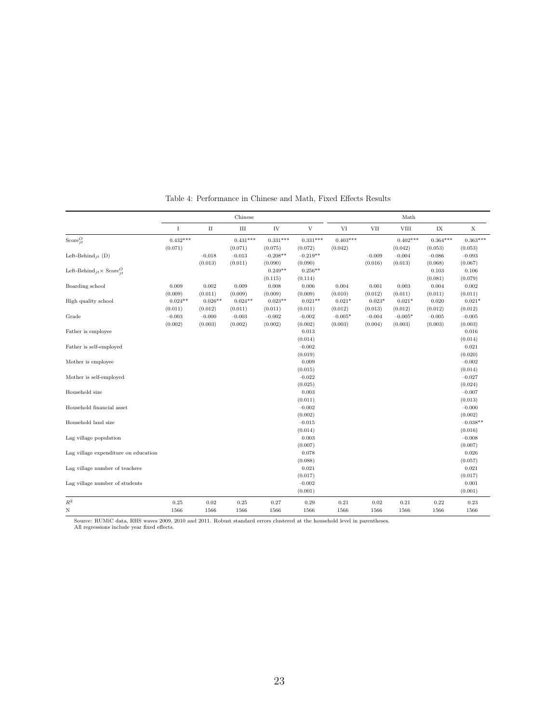<span id="page-23-0"></span>

|                                              |                       |                      | Chinese               |                       |                                |                       |                     | Math                  |                       |                                |
|----------------------------------------------|-----------------------|----------------------|-----------------------|-----------------------|--------------------------------|-----------------------|---------------------|-----------------------|-----------------------|--------------------------------|
|                                              | $\rm I$               | $\;$ II              | Ш                     | IV                    | $\ensuremath{\mathbf{V}}$      | VI                    | <b>VII</b>          | <b>VIII</b>           | ${\it IX}$            | $\mathbf X$                    |
| $\text{Score}^O_{jt}$                        | $0.432***$<br>(0.071) |                      | $0.431***$<br>(0.071) | $0.331***$<br>(0.075) | $0.331***$<br>(0.072)          | $0.403***$<br>(0.042) |                     | $0.402***$<br>(0.042) | $0.364***$<br>(0.053) | $0.363***$<br>(0.053)          |
| Left-Behind <sub>it</sub> (D)                |                       | $-0.018$<br>(0.013)  | $-0.013$<br>(0.011)   | $-0.208**$<br>(0.090) | $-0.219**$<br>(0.090)          |                       | $-0.009$<br>(0.016) | $-0.004$<br>(0.013)   | $-0.086$<br>(0.068)   | $-0.093$<br>(0.067)            |
| Left-Behind $i_t \times \text{Score}^O_{it}$ |                       |                      |                       | $0.249**$<br>(0.115)  | $0.256**$<br>(0.114)           |                       |                     |                       | 0.103<br>(0.081)      | 0.106<br>(0.079)               |
| Boarding school                              | 0.009<br>(0.009)      | 0.002<br>(0.011)     | 0.009<br>(0.009)      | 0.008<br>(0.009)      | 0.006<br>(0.009)               | 0.004<br>(0.010)      | 0.001<br>(0.012)    | 0.003<br>(0.011)      | 0.004<br>(0.011)      | 0.002<br>(0.011)               |
| High quality school                          | $0.024**$<br>(0.011)  | $0.026**$<br>(0.012) | $0.024**$<br>(0.011)  | $0.023**$<br>(0.011)  | $0.021**$<br>(0.011)           | $0.021*$<br>(0.012)   | $0.023*$<br>(0.013) | $0.021*$<br>(0.012)   | 0.020<br>(0.012)      | $0.021*$<br>(0.012)            |
| Grade                                        | $-0.003$<br>(0.002)   | $-0.000$<br>(0.003)  | $-0.003$<br>(0.002)   | $-0.002$<br>(0.002)   | $-0.002$<br>(0.002)            | $-0.005*$<br>(0.003)  | $-0.004$<br>(0.004) | $-0.005*$<br>(0.003)  | $-0.005$<br>(0.003)   | $-0.005$<br>(0.003)            |
| Father is employee                           |                       |                      |                       |                       | 0.013<br>(0.014)               |                       |                     |                       |                       | 0.016<br>(0.014)               |
| Father is self-employed                      |                       |                      |                       |                       | $-0.002$<br>(0.019)            |                       |                     |                       |                       | 0.021<br>(0.020)               |
| Mother is employee                           |                       |                      |                       |                       | 0.009                          |                       |                     |                       |                       | $-0.002$                       |
| Mother is self-employed                      |                       |                      |                       |                       | (0.015)<br>$-0.022$<br>(0.025) |                       |                     |                       |                       | (0.014)<br>$-0.027$<br>(0.024) |
| Household size                               |                       |                      |                       |                       | 0.003<br>(0.011)               |                       |                     |                       |                       | $-0.007$<br>(0.013)            |
| Household financial asset                    |                       |                      |                       |                       | $-0.002$                       |                       |                     |                       |                       | $-0.000$                       |
| Household land size                          |                       |                      |                       |                       | (0.002)<br>$-0.015$            |                       |                     |                       |                       | (0.002)<br>$-0.038**$          |
| Lag village population                       |                       |                      |                       |                       | (0.014)<br>0.003               |                       |                     |                       |                       | (0.016)<br>$-0.008$            |
| Lag village expenditure on education         |                       |                      |                       |                       | (0.007)<br>0.078               |                       |                     |                       |                       | (0.007)<br>0.026               |
| Lag village number of teachers               |                       |                      |                       |                       | (0.088)<br>0.021<br>(0.017)    |                       |                     |                       |                       | (0.057)<br>0.021<br>(0.017)    |
| Lag village number of students               |                       |                      |                       |                       | $-0.002$<br>(0.001)            |                       |                     |                       |                       | 0.001<br>(0.001)               |
| $\mathbb{R}^2$                               | 0.25                  | 0.02                 | 0.25                  | 0.27                  | 0.29                           | 0.21                  | 0.02                | 0.21                  | 0.22                  | 0.23                           |
| N                                            | 1566                  | 1566                 | 1566                  | 1566                  | 1566                           | 1566                  | 1566                | 1566                  | 1566                  | 1566                           |

Table 4: Performance in Chinese and Math, Fixed Effects Results

Source: RUMiC data, RHS waves 2009, 2010 and 2011. Robust standard errors clustered at the household level in parentheses. All regressions include year fixed effects.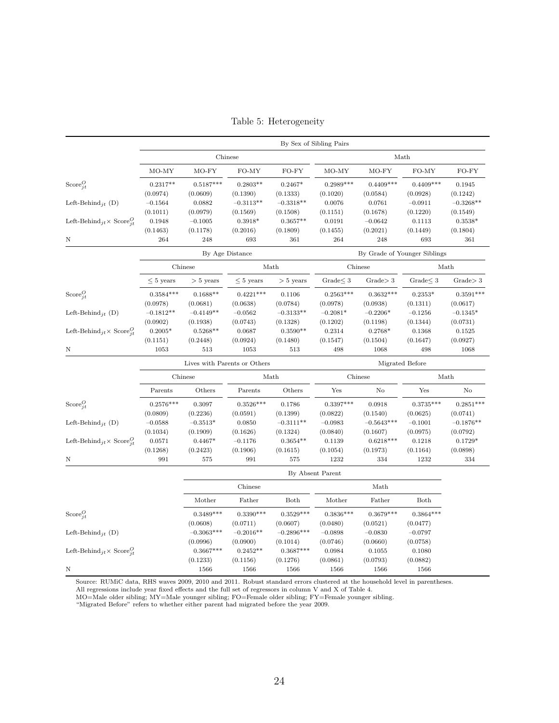<span id="page-24-0"></span>

| Chinese<br>Math<br>$MO-FY$<br>FO-MY<br>FO-FY<br>$MO-FY$<br>FO-MY<br>FO-FY<br>MO-MY<br>MO-MY<br>$0.5187***$<br>$0.2803**$<br>$0.2989***$<br>$0.4409***$<br>$0.4409***$<br>$0.2317**$<br>$0.2467*$<br>0.1945<br>(0.0974)<br>(0.0609)<br>(0.1390)<br>(0.1333)<br>(0.1020)<br>(0.0584)<br>(0.0928)<br>(0.1242)<br>$-0.3113**$<br>$-0.3318**$<br>$-0.3268**$<br>Left-Behind $_{jt}$ (D)<br>$-0.1564$<br>0.0882<br>0.0076<br>0.0761<br>$-0.0911$<br>(0.0979)<br>(0.1569)<br>(0.1151)<br>(0.1220)<br>(0.1011)<br>(0.1508)<br>(0.1678)<br>(0.1549)<br>$0.3918*$<br>$0.3657**$<br>0.1948<br>$-0.1005$<br>0.0191<br>$-0.0642$<br>0.1113<br>$0.3538*$<br>Left-Behind <sub>jt</sub> $\times$ Score <sup><math>C_i</math></sup><br>(0.1463)<br>(0.1178)<br>(0.2016)<br>(0.1809)<br>(0.1455)<br>(0.2021)<br>(0.1449)<br>(0.1804)<br>264<br>248<br>693<br>361<br>264<br>248<br>693<br>361<br>Ν<br>By Grade of Younger Siblings<br>By Age Distance<br>Math<br>Math<br>Chinese<br>Chinese<br>$\leq 5$ years<br>Grade $\leq 3$<br>Grade > 3<br>Grade < 3<br>Grade > 3<br>$> 5$ years<br>$\leq 5$ years<br>$> 5$ years<br>$0.3584***$<br>$0.1688**$<br>$0.4221***$<br>$0.2563***$<br>$0.3632***$<br>$0.3591***$<br>0.1106<br>$0.2353*$<br>(0.0978)<br>(0.0681)<br>(0.0638)<br>(0.0784)<br>(0.0978)<br>(0.0938)<br>(0.1311)<br>(0.0617)<br>$-0.1812**$<br>$-0.4149**$<br>$-0.3133**$<br>$-0.2081*$<br>$-0.0562$<br>$-0.2206*$<br>$-0.1256$<br>$-0.1345*$<br>(0.0902)<br>(0.0743)<br>(0.0731)<br>(0.1938)<br>(0.1328)<br>(0.1202)<br>(0.1198)<br>(0.1344)<br>$0.2005*$<br>$0.5268**$<br>$0.3590**$<br>Left-Behind <sub>jt</sub> $\times$ Score <sup><i>Q</i></sup> <sub>it</sub><br>0.0687<br>0.2314<br>$0.2768*$<br>0.1368<br>0.1525<br>(0.1151)<br>(0.2448)<br>(0.0924)<br>(0.1480)<br>(0.1547)<br>(0.1504)<br>(0.1647)<br>(0.0927)<br>1053<br>513<br>1053<br>513<br>498<br>1068<br>498<br>1068<br>Lives with Parents or Others<br>Migrated Before<br>Chinese<br>Chinese<br>Math<br>Math<br>Others<br>Others<br>Yes<br>$\rm No$<br>Yes<br>No<br>Parents<br>Parents<br>$0.2576***$<br>$0.3526***$<br>$0.3397***$<br>$0.3735***$<br>$0.2851***$<br>0.3097<br>0.1786<br>0.0918<br>(0.2236)<br>(0.1399)<br>(0.0809)<br>(0.0591)<br>(0.0822)<br>(0.1540)<br>(0.0625)<br>(0.0741)<br>$-0.3111**$<br>$-0.5643***$<br>$-0.3513*$<br>0.0850<br>$-0.0983$<br>$-0.1876**$<br>Left-Behind <sub>it</sub> (D)<br>$-0.0588$<br>$-0.1001$<br>(0.1909)<br>(0.1034)<br>(0.1626)<br>(0.1324)<br>(0.0840)<br>(0.1607)<br>(0.0975)<br>(0.0792)<br>$0.3654**$<br>$0.6218***$<br>0.0571<br>$0.4467*$<br>0.1218<br>Left-Behind <sub>it</sub> $\times$ Score <sup><math>Q</math></sup><br>$-0.1176$<br>0.1139<br>$0.1729*$<br>(0.1268)<br>(0.2423)<br>(0.1906)<br>(0.1615)<br>(0.1054)<br>(0.1973)<br>(0.0898)<br>(0.1164)<br>991<br>991<br>1232<br>1232<br>334<br>Ν<br>575<br>575<br>334<br>By Absent Parent<br>Chinese<br>Math<br>Mother<br>Father<br>Both<br>Mother<br>Father<br>Both<br>$0.3864***$<br>$0.3489***$<br>$0.3390***$<br>$0.3529***$<br>$0.3836***$<br>$0.3679***$<br>Score $_{it}^{O}$<br>(0.0608)<br>(0.0711)<br>(0.0607)<br>(0.0480)<br>(0.0521)<br>(0.0477)<br>$-0.3063***$<br>$-0.2016**$<br>$-0.2896***$<br>Left-Behind <sub>it</sub> (D)<br>$-0.0797$<br>$-0.0898$<br>$-0.0830$<br>(0.0996)<br>(0.0900)<br>(0.0758)<br>(0.1014)<br>(0.0746)<br>(0.0660)<br>$0.3667***$<br>$0.2452**$<br>$0.3687***$<br>0.0984<br>0.1055<br>0.1080<br>Left-Behind <sub>jt</sub> $\times$ Score <sup><i>Q</i></sup> <sub>it</sub><br>(0.1233)<br>(0.1276)<br>(0.0861)<br>(0.0793)<br>(0.0882)<br>(0.1156)<br>1566<br>1566<br>1566<br>1566<br>1566<br>1566 |                               | By Sex of Sibling Pairs |  |  |  |  |  |  |  |  |  |  |
|--------------------------------------------------------------------------------------------------------------------------------------------------------------------------------------------------------------------------------------------------------------------------------------------------------------------------------------------------------------------------------------------------------------------------------------------------------------------------------------------------------------------------------------------------------------------------------------------------------------------------------------------------------------------------------------------------------------------------------------------------------------------------------------------------------------------------------------------------------------------------------------------------------------------------------------------------------------------------------------------------------------------------------------------------------------------------------------------------------------------------------------------------------------------------------------------------------------------------------------------------------------------------------------------------------------------------------------------------------------------------------------------------------------------------------------------------------------------------------------------------------------------------------------------------------------------------------------------------------------------------------------------------------------------------------------------------------------------------------------------------------------------------------------------------------------------------------------------------------------------------------------------------------------------------------------------------------------------------------------------------------------------------------------------------------------------------------------------------------------------------------------------------------------------------------------------------------------------------------------------------------------------------------------------------------------------------------------------------------------------------------------------------------------------------------------------------------------------------------------------------------------------------------------------------------------------------------------------------------------------------------------------------------------------------------------------------------------------------------------------------------------------------------------------------------------------------------------------------------------------------------------------------------------------------------------------------------------------------------------------------------------------------------------------------------------------------------------------------------------------------------------------------------------------------------------------------------------------------------------------------------------------------------------------------------------------------------------------------------------------------------------------------------------------------------------------------------------------------------------------------------------------------------------------------------------------------------------------------------------------|-------------------------------|-------------------------|--|--|--|--|--|--|--|--|--|--|
|                                                                                                                                                                                                                                                                                                                                                                                                                                                                                                                                                                                                                                                                                                                                                                                                                                                                                                                                                                                                                                                                                                                                                                                                                                                                                                                                                                                                                                                                                                                                                                                                                                                                                                                                                                                                                                                                                                                                                                                                                                                                                                                                                                                                                                                                                                                                                                                                                                                                                                                                                                                                                                                                                                                                                                                                                                                                                                                                                                                                                                                                                                                                                                                                                                                                                                                                                                                                                                                                                                                                                                                                                    |                               |                         |  |  |  |  |  |  |  |  |  |  |
|                                                                                                                                                                                                                                                                                                                                                                                                                                                                                                                                                                                                                                                                                                                                                                                                                                                                                                                                                                                                                                                                                                                                                                                                                                                                                                                                                                                                                                                                                                                                                                                                                                                                                                                                                                                                                                                                                                                                                                                                                                                                                                                                                                                                                                                                                                                                                                                                                                                                                                                                                                                                                                                                                                                                                                                                                                                                                                                                                                                                                                                                                                                                                                                                                                                                                                                                                                                                                                                                                                                                                                                                                    |                               |                         |  |  |  |  |  |  |  |  |  |  |
|                                                                                                                                                                                                                                                                                                                                                                                                                                                                                                                                                                                                                                                                                                                                                                                                                                                                                                                                                                                                                                                                                                                                                                                                                                                                                                                                                                                                                                                                                                                                                                                                                                                                                                                                                                                                                                                                                                                                                                                                                                                                                                                                                                                                                                                                                                                                                                                                                                                                                                                                                                                                                                                                                                                                                                                                                                                                                                                                                                                                                                                                                                                                                                                                                                                                                                                                                                                                                                                                                                                                                                                                                    | Score $_{it}^O$               |                         |  |  |  |  |  |  |  |  |  |  |
|                                                                                                                                                                                                                                                                                                                                                                                                                                                                                                                                                                                                                                                                                                                                                                                                                                                                                                                                                                                                                                                                                                                                                                                                                                                                                                                                                                                                                                                                                                                                                                                                                                                                                                                                                                                                                                                                                                                                                                                                                                                                                                                                                                                                                                                                                                                                                                                                                                                                                                                                                                                                                                                                                                                                                                                                                                                                                                                                                                                                                                                                                                                                                                                                                                                                                                                                                                                                                                                                                                                                                                                                                    |                               |                         |  |  |  |  |  |  |  |  |  |  |
|                                                                                                                                                                                                                                                                                                                                                                                                                                                                                                                                                                                                                                                                                                                                                                                                                                                                                                                                                                                                                                                                                                                                                                                                                                                                                                                                                                                                                                                                                                                                                                                                                                                                                                                                                                                                                                                                                                                                                                                                                                                                                                                                                                                                                                                                                                                                                                                                                                                                                                                                                                                                                                                                                                                                                                                                                                                                                                                                                                                                                                                                                                                                                                                                                                                                                                                                                                                                                                                                                                                                                                                                                    |                               |                         |  |  |  |  |  |  |  |  |  |  |
|                                                                                                                                                                                                                                                                                                                                                                                                                                                                                                                                                                                                                                                                                                                                                                                                                                                                                                                                                                                                                                                                                                                                                                                                                                                                                                                                                                                                                                                                                                                                                                                                                                                                                                                                                                                                                                                                                                                                                                                                                                                                                                                                                                                                                                                                                                                                                                                                                                                                                                                                                                                                                                                                                                                                                                                                                                                                                                                                                                                                                                                                                                                                                                                                                                                                                                                                                                                                                                                                                                                                                                                                                    |                               |                         |  |  |  |  |  |  |  |  |  |  |
|                                                                                                                                                                                                                                                                                                                                                                                                                                                                                                                                                                                                                                                                                                                                                                                                                                                                                                                                                                                                                                                                                                                                                                                                                                                                                                                                                                                                                                                                                                                                                                                                                                                                                                                                                                                                                                                                                                                                                                                                                                                                                                                                                                                                                                                                                                                                                                                                                                                                                                                                                                                                                                                                                                                                                                                                                                                                                                                                                                                                                                                                                                                                                                                                                                                                                                                                                                                                                                                                                                                                                                                                                    |                               |                         |  |  |  |  |  |  |  |  |  |  |
|                                                                                                                                                                                                                                                                                                                                                                                                                                                                                                                                                                                                                                                                                                                                                                                                                                                                                                                                                                                                                                                                                                                                                                                                                                                                                                                                                                                                                                                                                                                                                                                                                                                                                                                                                                                                                                                                                                                                                                                                                                                                                                                                                                                                                                                                                                                                                                                                                                                                                                                                                                                                                                                                                                                                                                                                                                                                                                                                                                                                                                                                                                                                                                                                                                                                                                                                                                                                                                                                                                                                                                                                                    |                               |                         |  |  |  |  |  |  |  |  |  |  |
|                                                                                                                                                                                                                                                                                                                                                                                                                                                                                                                                                                                                                                                                                                                                                                                                                                                                                                                                                                                                                                                                                                                                                                                                                                                                                                                                                                                                                                                                                                                                                                                                                                                                                                                                                                                                                                                                                                                                                                                                                                                                                                                                                                                                                                                                                                                                                                                                                                                                                                                                                                                                                                                                                                                                                                                                                                                                                                                                                                                                                                                                                                                                                                                                                                                                                                                                                                                                                                                                                                                                                                                                                    |                               |                         |  |  |  |  |  |  |  |  |  |  |
|                                                                                                                                                                                                                                                                                                                                                                                                                                                                                                                                                                                                                                                                                                                                                                                                                                                                                                                                                                                                                                                                                                                                                                                                                                                                                                                                                                                                                                                                                                                                                                                                                                                                                                                                                                                                                                                                                                                                                                                                                                                                                                                                                                                                                                                                                                                                                                                                                                                                                                                                                                                                                                                                                                                                                                                                                                                                                                                                                                                                                                                                                                                                                                                                                                                                                                                                                                                                                                                                                                                                                                                                                    |                               |                         |  |  |  |  |  |  |  |  |  |  |
|                                                                                                                                                                                                                                                                                                                                                                                                                                                                                                                                                                                                                                                                                                                                                                                                                                                                                                                                                                                                                                                                                                                                                                                                                                                                                                                                                                                                                                                                                                                                                                                                                                                                                                                                                                                                                                                                                                                                                                                                                                                                                                                                                                                                                                                                                                                                                                                                                                                                                                                                                                                                                                                                                                                                                                                                                                                                                                                                                                                                                                                                                                                                                                                                                                                                                                                                                                                                                                                                                                                                                                                                                    |                               |                         |  |  |  |  |  |  |  |  |  |  |
|                                                                                                                                                                                                                                                                                                                                                                                                                                                                                                                                                                                                                                                                                                                                                                                                                                                                                                                                                                                                                                                                                                                                                                                                                                                                                                                                                                                                                                                                                                                                                                                                                                                                                                                                                                                                                                                                                                                                                                                                                                                                                                                                                                                                                                                                                                                                                                                                                                                                                                                                                                                                                                                                                                                                                                                                                                                                                                                                                                                                                                                                                                                                                                                                                                                                                                                                                                                                                                                                                                                                                                                                                    | Score $_{it}^{O}$             |                         |  |  |  |  |  |  |  |  |  |  |
|                                                                                                                                                                                                                                                                                                                                                                                                                                                                                                                                                                                                                                                                                                                                                                                                                                                                                                                                                                                                                                                                                                                                                                                                                                                                                                                                                                                                                                                                                                                                                                                                                                                                                                                                                                                                                                                                                                                                                                                                                                                                                                                                                                                                                                                                                                                                                                                                                                                                                                                                                                                                                                                                                                                                                                                                                                                                                                                                                                                                                                                                                                                                                                                                                                                                                                                                                                                                                                                                                                                                                                                                                    |                               |                         |  |  |  |  |  |  |  |  |  |  |
|                                                                                                                                                                                                                                                                                                                                                                                                                                                                                                                                                                                                                                                                                                                                                                                                                                                                                                                                                                                                                                                                                                                                                                                                                                                                                                                                                                                                                                                                                                                                                                                                                                                                                                                                                                                                                                                                                                                                                                                                                                                                                                                                                                                                                                                                                                                                                                                                                                                                                                                                                                                                                                                                                                                                                                                                                                                                                                                                                                                                                                                                                                                                                                                                                                                                                                                                                                                                                                                                                                                                                                                                                    | Left-Behind <sub>it</sub> (D) |                         |  |  |  |  |  |  |  |  |  |  |
|                                                                                                                                                                                                                                                                                                                                                                                                                                                                                                                                                                                                                                                                                                                                                                                                                                                                                                                                                                                                                                                                                                                                                                                                                                                                                                                                                                                                                                                                                                                                                                                                                                                                                                                                                                                                                                                                                                                                                                                                                                                                                                                                                                                                                                                                                                                                                                                                                                                                                                                                                                                                                                                                                                                                                                                                                                                                                                                                                                                                                                                                                                                                                                                                                                                                                                                                                                                                                                                                                                                                                                                                                    |                               |                         |  |  |  |  |  |  |  |  |  |  |
|                                                                                                                                                                                                                                                                                                                                                                                                                                                                                                                                                                                                                                                                                                                                                                                                                                                                                                                                                                                                                                                                                                                                                                                                                                                                                                                                                                                                                                                                                                                                                                                                                                                                                                                                                                                                                                                                                                                                                                                                                                                                                                                                                                                                                                                                                                                                                                                                                                                                                                                                                                                                                                                                                                                                                                                                                                                                                                                                                                                                                                                                                                                                                                                                                                                                                                                                                                                                                                                                                                                                                                                                                    |                               |                         |  |  |  |  |  |  |  |  |  |  |
|                                                                                                                                                                                                                                                                                                                                                                                                                                                                                                                                                                                                                                                                                                                                                                                                                                                                                                                                                                                                                                                                                                                                                                                                                                                                                                                                                                                                                                                                                                                                                                                                                                                                                                                                                                                                                                                                                                                                                                                                                                                                                                                                                                                                                                                                                                                                                                                                                                                                                                                                                                                                                                                                                                                                                                                                                                                                                                                                                                                                                                                                                                                                                                                                                                                                                                                                                                                                                                                                                                                                                                                                                    |                               |                         |  |  |  |  |  |  |  |  |  |  |
|                                                                                                                                                                                                                                                                                                                                                                                                                                                                                                                                                                                                                                                                                                                                                                                                                                                                                                                                                                                                                                                                                                                                                                                                                                                                                                                                                                                                                                                                                                                                                                                                                                                                                                                                                                                                                                                                                                                                                                                                                                                                                                                                                                                                                                                                                                                                                                                                                                                                                                                                                                                                                                                                                                                                                                                                                                                                                                                                                                                                                                                                                                                                                                                                                                                                                                                                                                                                                                                                                                                                                                                                                    | Ν                             |                         |  |  |  |  |  |  |  |  |  |  |
|                                                                                                                                                                                                                                                                                                                                                                                                                                                                                                                                                                                                                                                                                                                                                                                                                                                                                                                                                                                                                                                                                                                                                                                                                                                                                                                                                                                                                                                                                                                                                                                                                                                                                                                                                                                                                                                                                                                                                                                                                                                                                                                                                                                                                                                                                                                                                                                                                                                                                                                                                                                                                                                                                                                                                                                                                                                                                                                                                                                                                                                                                                                                                                                                                                                                                                                                                                                                                                                                                                                                                                                                                    |                               |                         |  |  |  |  |  |  |  |  |  |  |
|                                                                                                                                                                                                                                                                                                                                                                                                                                                                                                                                                                                                                                                                                                                                                                                                                                                                                                                                                                                                                                                                                                                                                                                                                                                                                                                                                                                                                                                                                                                                                                                                                                                                                                                                                                                                                                                                                                                                                                                                                                                                                                                                                                                                                                                                                                                                                                                                                                                                                                                                                                                                                                                                                                                                                                                                                                                                                                                                                                                                                                                                                                                                                                                                                                                                                                                                                                                                                                                                                                                                                                                                                    |                               |                         |  |  |  |  |  |  |  |  |  |  |
|                                                                                                                                                                                                                                                                                                                                                                                                                                                                                                                                                                                                                                                                                                                                                                                                                                                                                                                                                                                                                                                                                                                                                                                                                                                                                                                                                                                                                                                                                                                                                                                                                                                                                                                                                                                                                                                                                                                                                                                                                                                                                                                                                                                                                                                                                                                                                                                                                                                                                                                                                                                                                                                                                                                                                                                                                                                                                                                                                                                                                                                                                                                                                                                                                                                                                                                                                                                                                                                                                                                                                                                                                    |                               |                         |  |  |  |  |  |  |  |  |  |  |
|                                                                                                                                                                                                                                                                                                                                                                                                                                                                                                                                                                                                                                                                                                                                                                                                                                                                                                                                                                                                                                                                                                                                                                                                                                                                                                                                                                                                                                                                                                                                                                                                                                                                                                                                                                                                                                                                                                                                                                                                                                                                                                                                                                                                                                                                                                                                                                                                                                                                                                                                                                                                                                                                                                                                                                                                                                                                                                                                                                                                                                                                                                                                                                                                                                                                                                                                                                                                                                                                                                                                                                                                                    | $Score_{it}^O$                |                         |  |  |  |  |  |  |  |  |  |  |
|                                                                                                                                                                                                                                                                                                                                                                                                                                                                                                                                                                                                                                                                                                                                                                                                                                                                                                                                                                                                                                                                                                                                                                                                                                                                                                                                                                                                                                                                                                                                                                                                                                                                                                                                                                                                                                                                                                                                                                                                                                                                                                                                                                                                                                                                                                                                                                                                                                                                                                                                                                                                                                                                                                                                                                                                                                                                                                                                                                                                                                                                                                                                                                                                                                                                                                                                                                                                                                                                                                                                                                                                                    |                               |                         |  |  |  |  |  |  |  |  |  |  |
|                                                                                                                                                                                                                                                                                                                                                                                                                                                                                                                                                                                                                                                                                                                                                                                                                                                                                                                                                                                                                                                                                                                                                                                                                                                                                                                                                                                                                                                                                                                                                                                                                                                                                                                                                                                                                                                                                                                                                                                                                                                                                                                                                                                                                                                                                                                                                                                                                                                                                                                                                                                                                                                                                                                                                                                                                                                                                                                                                                                                                                                                                                                                                                                                                                                                                                                                                                                                                                                                                                                                                                                                                    |                               |                         |  |  |  |  |  |  |  |  |  |  |
|                                                                                                                                                                                                                                                                                                                                                                                                                                                                                                                                                                                                                                                                                                                                                                                                                                                                                                                                                                                                                                                                                                                                                                                                                                                                                                                                                                                                                                                                                                                                                                                                                                                                                                                                                                                                                                                                                                                                                                                                                                                                                                                                                                                                                                                                                                                                                                                                                                                                                                                                                                                                                                                                                                                                                                                                                                                                                                                                                                                                                                                                                                                                                                                                                                                                                                                                                                                                                                                                                                                                                                                                                    |                               |                         |  |  |  |  |  |  |  |  |  |  |
|                                                                                                                                                                                                                                                                                                                                                                                                                                                                                                                                                                                                                                                                                                                                                                                                                                                                                                                                                                                                                                                                                                                                                                                                                                                                                                                                                                                                                                                                                                                                                                                                                                                                                                                                                                                                                                                                                                                                                                                                                                                                                                                                                                                                                                                                                                                                                                                                                                                                                                                                                                                                                                                                                                                                                                                                                                                                                                                                                                                                                                                                                                                                                                                                                                                                                                                                                                                                                                                                                                                                                                                                                    |                               |                         |  |  |  |  |  |  |  |  |  |  |
|                                                                                                                                                                                                                                                                                                                                                                                                                                                                                                                                                                                                                                                                                                                                                                                                                                                                                                                                                                                                                                                                                                                                                                                                                                                                                                                                                                                                                                                                                                                                                                                                                                                                                                                                                                                                                                                                                                                                                                                                                                                                                                                                                                                                                                                                                                                                                                                                                                                                                                                                                                                                                                                                                                                                                                                                                                                                                                                                                                                                                                                                                                                                                                                                                                                                                                                                                                                                                                                                                                                                                                                                                    |                               |                         |  |  |  |  |  |  |  |  |  |  |
|                                                                                                                                                                                                                                                                                                                                                                                                                                                                                                                                                                                                                                                                                                                                                                                                                                                                                                                                                                                                                                                                                                                                                                                                                                                                                                                                                                                                                                                                                                                                                                                                                                                                                                                                                                                                                                                                                                                                                                                                                                                                                                                                                                                                                                                                                                                                                                                                                                                                                                                                                                                                                                                                                                                                                                                                                                                                                                                                                                                                                                                                                                                                                                                                                                                                                                                                                                                                                                                                                                                                                                                                                    |                               |                         |  |  |  |  |  |  |  |  |  |  |
|                                                                                                                                                                                                                                                                                                                                                                                                                                                                                                                                                                                                                                                                                                                                                                                                                                                                                                                                                                                                                                                                                                                                                                                                                                                                                                                                                                                                                                                                                                                                                                                                                                                                                                                                                                                                                                                                                                                                                                                                                                                                                                                                                                                                                                                                                                                                                                                                                                                                                                                                                                                                                                                                                                                                                                                                                                                                                                                                                                                                                                                                                                                                                                                                                                                                                                                                                                                                                                                                                                                                                                                                                    |                               |                         |  |  |  |  |  |  |  |  |  |  |
|                                                                                                                                                                                                                                                                                                                                                                                                                                                                                                                                                                                                                                                                                                                                                                                                                                                                                                                                                                                                                                                                                                                                                                                                                                                                                                                                                                                                                                                                                                                                                                                                                                                                                                                                                                                                                                                                                                                                                                                                                                                                                                                                                                                                                                                                                                                                                                                                                                                                                                                                                                                                                                                                                                                                                                                                                                                                                                                                                                                                                                                                                                                                                                                                                                                                                                                                                                                                                                                                                                                                                                                                                    |                               |                         |  |  |  |  |  |  |  |  |  |  |
|                                                                                                                                                                                                                                                                                                                                                                                                                                                                                                                                                                                                                                                                                                                                                                                                                                                                                                                                                                                                                                                                                                                                                                                                                                                                                                                                                                                                                                                                                                                                                                                                                                                                                                                                                                                                                                                                                                                                                                                                                                                                                                                                                                                                                                                                                                                                                                                                                                                                                                                                                                                                                                                                                                                                                                                                                                                                                                                                                                                                                                                                                                                                                                                                                                                                                                                                                                                                                                                                                                                                                                                                                    |                               |                         |  |  |  |  |  |  |  |  |  |  |
|                                                                                                                                                                                                                                                                                                                                                                                                                                                                                                                                                                                                                                                                                                                                                                                                                                                                                                                                                                                                                                                                                                                                                                                                                                                                                                                                                                                                                                                                                                                                                                                                                                                                                                                                                                                                                                                                                                                                                                                                                                                                                                                                                                                                                                                                                                                                                                                                                                                                                                                                                                                                                                                                                                                                                                                                                                                                                                                                                                                                                                                                                                                                                                                                                                                                                                                                                                                                                                                                                                                                                                                                                    |                               |                         |  |  |  |  |  |  |  |  |  |  |
|                                                                                                                                                                                                                                                                                                                                                                                                                                                                                                                                                                                                                                                                                                                                                                                                                                                                                                                                                                                                                                                                                                                                                                                                                                                                                                                                                                                                                                                                                                                                                                                                                                                                                                                                                                                                                                                                                                                                                                                                                                                                                                                                                                                                                                                                                                                                                                                                                                                                                                                                                                                                                                                                                                                                                                                                                                                                                                                                                                                                                                                                                                                                                                                                                                                                                                                                                                                                                                                                                                                                                                                                                    |                               |                         |  |  |  |  |  |  |  |  |  |  |
|                                                                                                                                                                                                                                                                                                                                                                                                                                                                                                                                                                                                                                                                                                                                                                                                                                                                                                                                                                                                                                                                                                                                                                                                                                                                                                                                                                                                                                                                                                                                                                                                                                                                                                                                                                                                                                                                                                                                                                                                                                                                                                                                                                                                                                                                                                                                                                                                                                                                                                                                                                                                                                                                                                                                                                                                                                                                                                                                                                                                                                                                                                                                                                                                                                                                                                                                                                                                                                                                                                                                                                                                                    |                               |                         |  |  |  |  |  |  |  |  |  |  |
|                                                                                                                                                                                                                                                                                                                                                                                                                                                                                                                                                                                                                                                                                                                                                                                                                                                                                                                                                                                                                                                                                                                                                                                                                                                                                                                                                                                                                                                                                                                                                                                                                                                                                                                                                                                                                                                                                                                                                                                                                                                                                                                                                                                                                                                                                                                                                                                                                                                                                                                                                                                                                                                                                                                                                                                                                                                                                                                                                                                                                                                                                                                                                                                                                                                                                                                                                                                                                                                                                                                                                                                                                    |                               |                         |  |  |  |  |  |  |  |  |  |  |
|                                                                                                                                                                                                                                                                                                                                                                                                                                                                                                                                                                                                                                                                                                                                                                                                                                                                                                                                                                                                                                                                                                                                                                                                                                                                                                                                                                                                                                                                                                                                                                                                                                                                                                                                                                                                                                                                                                                                                                                                                                                                                                                                                                                                                                                                                                                                                                                                                                                                                                                                                                                                                                                                                                                                                                                                                                                                                                                                                                                                                                                                                                                                                                                                                                                                                                                                                                                                                                                                                                                                                                                                                    |                               |                         |  |  |  |  |  |  |  |  |  |  |
|                                                                                                                                                                                                                                                                                                                                                                                                                                                                                                                                                                                                                                                                                                                                                                                                                                                                                                                                                                                                                                                                                                                                                                                                                                                                                                                                                                                                                                                                                                                                                                                                                                                                                                                                                                                                                                                                                                                                                                                                                                                                                                                                                                                                                                                                                                                                                                                                                                                                                                                                                                                                                                                                                                                                                                                                                                                                                                                                                                                                                                                                                                                                                                                                                                                                                                                                                                                                                                                                                                                                                                                                                    | Ν                             |                         |  |  |  |  |  |  |  |  |  |  |

Table 5: Heterogeneity

Source: RUMiC data, RHS waves 2009, 2010 and 2011. Robust standard errors clustered at the household level in parentheses.

All regressions include year fixed effects and the full set of regressors in column V and X of Table [4.](#page-23-0)

MO=Male older sibling; MY=Male younger sibling; FO=Female older sibling; FY=Female younger sibling.

"Migrated Before" refers to whether either parent had migrated before the year 2009.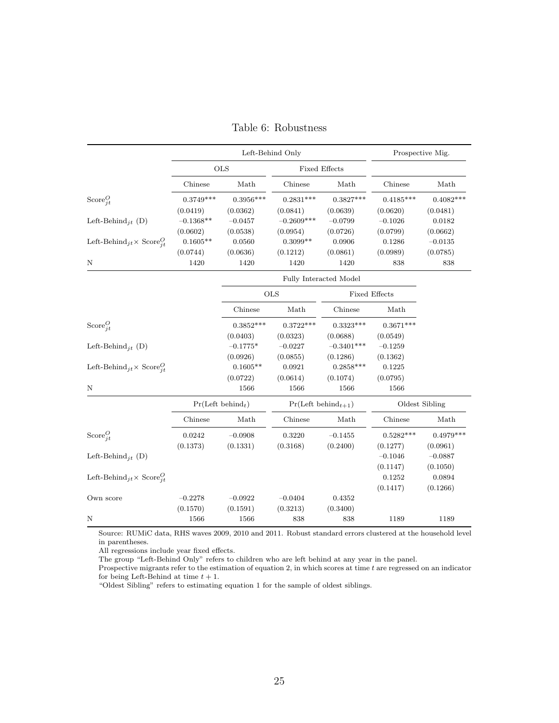<span id="page-25-0"></span>

|                                                              |                               |             | Left-Behind Only        |                        |             | Prospective Mig. |  |
|--------------------------------------------------------------|-------------------------------|-------------|-------------------------|------------------------|-------------|------------------|--|
|                                                              |                               | <b>OLS</b>  | <b>Fixed Effects</b>    |                        |             |                  |  |
|                                                              | Chinese                       | Math        | Chinese                 | Math                   | Chinese     | Math             |  |
| Score $_{it}^{O}$                                            | $0.3749***$                   | $0.3956***$ | $0.2831***$             | $0.3827***$            | $0.4185***$ | $0.4082***$      |  |
|                                                              | (0.0419)                      | (0.0362)    | (0.0841)                | (0.0639)               | (0.0620)    | (0.0481)         |  |
| Left-Behind <sub>it</sub> (D)                                | $-0.1368**$                   | $-0.0457$   | $-0.2609***$            | $-0.0799$              | $-0.1026$   | 0.0182           |  |
|                                                              | (0.0602)                      | (0.0538)    | (0.0954)                | (0.0726)               | (0.0799)    | (0.0662)         |  |
| Left-Behind <sub>jt</sub> × Score <sup>Q</sup> <sub>it</sub> | $0.1605**$                    | 0.0560      | $0.3099**$              | 0.0906                 | 0.1286      | $-0.0135$        |  |
|                                                              | (0.0744)                      | (0.0636)    | (0.1212)                | (0.0861)               | (0.0989)    | (0.0785)         |  |
| N                                                            | 1420                          | 1420        | 1420                    | 1420                   | 838         | 838              |  |
|                                                              |                               |             |                         | Fully Interacted Model |             |                  |  |
|                                                              |                               |             | <b>OLS</b>              | Fixed Effects          |             |                  |  |
|                                                              |                               | Chinese     | Math                    | Chinese                | Math        |                  |  |
| Score $_{it}^O$                                              |                               | $0.3852***$ | $0.3722***$             | $0.3323***$            | $0.3671***$ |                  |  |
|                                                              |                               | (0.0403)    | (0.0323)                | (0.0688)               | (0.0549)    |                  |  |
| Left-Behind <sub>it</sub> (D)                                |                               | $-0.1775*$  | $-0.0227$               | $-0.3401***$           | $-0.1259$   |                  |  |
|                                                              |                               | (0.0926)    | (0.0855)                | (0.1286)               | (0.1362)    |                  |  |
| Left-Behind <sub>jt</sub> × Score <sup>O</sup> <sub>it</sub> |                               | $0.1605**$  | 0.0921                  | $0.2858***$            | 0.1225      |                  |  |
|                                                              |                               | (0.0722)    | (0.0614)                | (0.1074)               | (0.0795)    |                  |  |
| N                                                            |                               | 1566        | 1566                    | 1566                   | 1566        |                  |  |
|                                                              | Pr(Left behind <sub>t</sub> ) |             | $Pr(Left behind_{t+1})$ |                        |             | Oldest Sibling   |  |
|                                                              | Chinese                       | Math        | Chinese                 | Math                   | Chinese     | Math             |  |
| Score $_{it}^O$                                              | 0.0242                        | $-0.0908$   | 0.3220                  | $-0.1455$              | $0.5282***$ | $0.4979***$      |  |
|                                                              | (0.1373)                      | (0.1331)    | (0.3168)                | (0.2400)               | (0.1277)    | (0.0961)         |  |
| Left-Behind <sub>it</sub> (D)                                |                               |             |                         |                        | $-0.1046$   | $-0.0887$        |  |
|                                                              |                               |             |                         |                        | (0.1147)    | (0.1050)         |  |
| Left-Behind <sub>jt</sub> × Score <sup>O</sup> <sub>it</sub> |                               |             |                         |                        | 0.1252      | 0.0894           |  |
|                                                              |                               |             |                         |                        | (0.1417)    | (0.1266)         |  |
| Own score                                                    | $-0.2278$                     | $-0.0922$   | $-0.0404$               | 0.4352                 |             |                  |  |
|                                                              | (0.1570)                      | (0.1591)    | (0.3213)                | (0.3400)               |             |                  |  |
| N                                                            | 1566                          | 1566        | 838                     | 838                    | 1189        | 1189             |  |

|  | Table 6: Robustness |
|--|---------------------|
|--|---------------------|

Source: RUMiC data, RHS waves 2009, 2010 and 2011. Robust standard errors clustered at the household level in parentheses.

All regressions include year fixed effects.

The group "Left-Behind Only" refers to children who are left behind at any year in the panel.

Prospective migrants refer to the estimation of equation [2,](#page-15-0) in which scores at time  $t$  are regressed on an indicator for being Left-Behind at time  $t + 1$ .

"Oldest Sibling" refers to estimating equation [1](#page-5-0) for the sample of oldest siblings.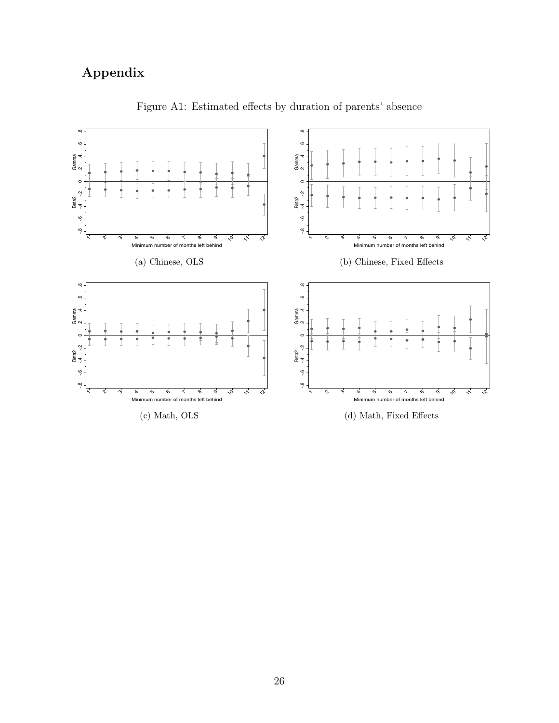### <span id="page-26-0"></span>Appendix



Figure A1: Estimated effects by duration of parents' absence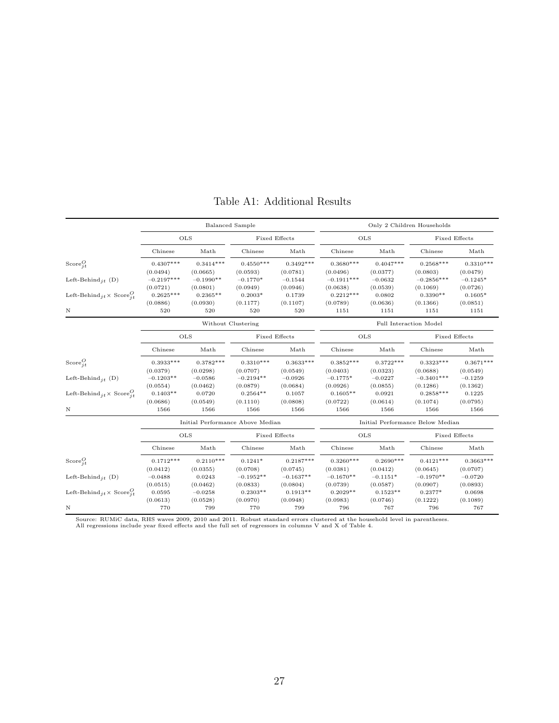<span id="page-27-0"></span>

|                                              |              |             | <b>Balanced Sample</b>           |               |                                  | Only 2 Children Households |                        |               |  |  |  |
|----------------------------------------------|--------------|-------------|----------------------------------|---------------|----------------------------------|----------------------------|------------------------|---------------|--|--|--|
|                                              |              | OLS         |                                  | Fixed Effects |                                  | <b>OLS</b>                 | Fixed Effects          |               |  |  |  |
|                                              | Chinese      | Math        | Chinese                          | Math          | Chinese                          | Math                       | Chinese                | Math          |  |  |  |
| Score $_{it}^O$                              | $0.4307***$  | $0.3414***$ | $0.4550***$                      | $0.3492***$   | $0.3680***$                      | $0.4047***$                | $0.2568***$            | $0.3310***$   |  |  |  |
|                                              | (0.0494)     | (0.0665)    | (0.0593)                         | (0.0781)      | (0.0496)                         | (0.0377)                   | (0.0803)               | (0.0479)      |  |  |  |
| Left-Behind <sub>it</sub> (D)                | $-0.2197***$ | $-0.1990**$ | $-0.1770*$                       | $-0.1544$     | $-0.1911***$                     | $-0.0632$                  | $-0.2856***$           | $-0.1245*$    |  |  |  |
|                                              | (0.0721)     | (0.0801)    | (0.0949)                         | (0.0946)      | (0.0638)                         | (0.0539)                   | (0.1069)               | (0.0726)      |  |  |  |
| Left-Behind $i_t \times \text{Score}^Q_{it}$ | $0.2625***$  | $0.2365**$  | $0.2003*$                        | 0.1739        | $0.2212***$                      | 0.0802                     | $0.3390**$             | $0.1605*$     |  |  |  |
|                                              | (0.0886)     | (0.0930)    | (0.1177)                         | (0.1107)      | (0.0789)                         | (0.0636)                   | (0.1366)               | (0.0851)      |  |  |  |
| Ν                                            | 520          | 520         | 520                              | 520           | 1151                             | 1151                       | 1151                   | 1151          |  |  |  |
|                                              |              |             | Without Clustering               |               |                                  |                            | Full Interaction Model |               |  |  |  |
| OLS                                          |              |             |                                  | Fixed Effects |                                  | OLS                        | Fixed Effects          |               |  |  |  |
|                                              | Chinese      | Math        | Chinese                          | Math          | Chinese                          | Math                       | Chinese                | Math          |  |  |  |
| Score $_{it}^O$                              | $0.3933***$  | $0.3782***$ | $0.3310***$                      | $0.3633***$   | $0.3852***$                      | $0.3722***$                | $0.3323***$            | $0.3671***$   |  |  |  |
|                                              | (0.0379)     | (0.0298)    | (0.0707)                         | (0.0549)      | (0.0403)                         | (0.0323)                   | (0.0688)               | (0.0549)      |  |  |  |
| Left-Behind <sub>it</sub> (D)                | $-0.1203**$  | $-0.0586$   | $-0.2194**$                      | $-0.0926$     | $-0.1775*$                       | $-0.0227$                  | $-0.3401***$           | $-0.1259$     |  |  |  |
|                                              | (0.0554)     | (0.0462)    | (0.0879)                         | (0.0684)      | (0.0926)                         | (0.0855)                   | (0.1286)               | (0.1362)      |  |  |  |
| Left-Behind $i_t \times \text{Score}^Q_{it}$ | $0.1403**$   | 0.0720      | $0.2564**$                       | 0.1057        | $0.1605**$                       | 0.0921                     | $0.2858***$            | 0.1225        |  |  |  |
|                                              | (0.0686)     | (0.0549)    | (0.1110)                         | (0.0808)      | (0.0722)                         | (0.0614)                   | (0.1074)               | (0.0795)      |  |  |  |
| Ν                                            | 1566         | 1566        | 1566                             | 1566          | 1566                             | 1566                       | 1566                   | 1566          |  |  |  |
|                                              |              |             | Initial Performance Above Median |               | Initial Performance Below Median |                            |                        |               |  |  |  |
|                                              |              | <b>OLS</b>  |                                  | Fixed Effects |                                  | <b>OLS</b>                 |                        | Fixed Effects |  |  |  |
|                                              | Chinese      | Math        | Chinese                          | Math          | Chinese                          | Math                       | Chinese                | Math          |  |  |  |
| Score $_{it}^O$                              | $0.1712***$  | $0.2110***$ | $0.1241*$                        | $0.2187***$   | $0.3260***$                      | $0.2690***$                | $0.4121***$            | $0.3663***$   |  |  |  |
|                                              | (0.0412)     | (0.0355)    | (0.0708)                         | (0.0745)      | (0.0381)                         | (0.0412)                   | (0.0645)               | (0.0707)      |  |  |  |
| Left-Behind $_{it}$ (D)                      | $-0.0488$    | 0.0243      | $-0.1952**$                      | $-0.1637**$   | $-0.1670**$                      | $-0.1151*$                 | $-0.1970**$            | $-0.0720$     |  |  |  |
|                                              | (0.0515)     | (0.0462)    | (0.0833)                         | (0.0804)      | (0.0739)                         | (0.0587)                   | (0.0907)               | (0.0893)      |  |  |  |
| Left-Behind $i_t \times \text{Score}^Q_{it}$ | 0.0595       | $-0.0258$   | $0.2303**$                       | $0.1913**$    | $0.2029**$                       | $0.1523**$                 | $0.2377*$              | 0.0698        |  |  |  |
|                                              | (0.0613)     | (0.0528)    | (0.0970)                         | (0.0948)      | (0.0983)                         | (0.0746)                   | (0.1222)               | (0.1089)      |  |  |  |
| Ν                                            | 770          | 799         | 770                              | 799           | 796                              | 767                        | 796                    | 767           |  |  |  |

#### Table A1: Additional Results

Source: RUMiC data, RHS waves 2009, 2010 and 2011. Robust standard errors clustered at the household level in parentheses.<br>All regressions include year fixed effects and the full set of regressors in columns V and X of Tab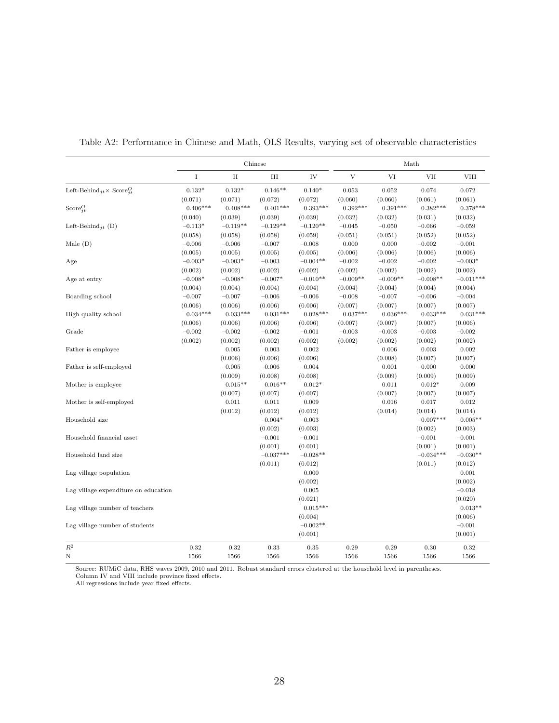|                                                              |             |             | Chinese     |            |                | Math       |             |             |  |  |
|--------------------------------------------------------------|-------------|-------------|-------------|------------|----------------|------------|-------------|-------------|--|--|
|                                                              | $\mathbf I$ | $_{\rm II}$ | III         | IV         | $\overline{V}$ | VI         | <b>VII</b>  | <b>VIII</b> |  |  |
| Left-Behind <sub>jt</sub> × Score <sup>O</sup> <sub>it</sub> | $0.132*$    | $0.132*$    | $0.146**$   | $0.140*$   | 0.053          | 0.052      | 0.074       | 0.072       |  |  |
|                                                              | (0.071)     | (0.071)     | (0.072)     | (0.072)    | (0.060)        | (0.060)    | (0.061)     | (0.061)     |  |  |
| Score $_{it}^O$                                              | $0.406***$  | $0.408***$  | $0.401***$  | $0.393***$ | $0.392***$     | $0.391***$ | $0.382***$  | $0.378***$  |  |  |
|                                                              | (0.040)     | (0.039)     | (0.039)     | (0.039)    | (0.032)        | (0.032)    | (0.031)     | (0.032)     |  |  |
| Left-Behind <sub>it</sub> (D)                                | $-0.113*$   | $-0.119**$  | $-0.129**$  | $-0.120**$ | $-0.045$       | $-0.050$   | $-0.066$    | $-0.059$    |  |  |
|                                                              | (0.058)     | (0.058)     | (0.058)     | (0.059)    | (0.051)        | (0.051)    | (0.052)     | (0.052)     |  |  |
| Male $(D)$                                                   | $-0.006$    | $-0.006$    | $-0.007$    | $-0.008$   | 0.000          | 0.000      | $-0.002$    | $-0.001$    |  |  |
|                                                              | (0.005)     | (0.005)     | (0.005)     | (0.005)    | (0.006)        | (0.006)    | (0.006)     | (0.006)     |  |  |
| Age                                                          | $-0.003*$   | $-0.003*$   | $-0.003$    | $-0.004**$ | $-0.002$       | $-0.002$   | $-0.002$    | $-0.003*$   |  |  |
|                                                              | (0.002)     | (0.002)     | (0.002)     | (0.002)    | (0.002)        | (0.002)    | (0.002)     | (0.002)     |  |  |
| Age at entry                                                 | $-0.008*$   | $-0.008*$   | $-0.007*$   | $-0.010**$ | $-0.009**$     | $-0.009**$ | $-0.008**$  | $-0.011***$ |  |  |
|                                                              | (0.004)     | (0.004)     | (0.004)     | (0.004)    | (0.004)        | (0.004)    | (0.004)     | (0.004)     |  |  |
| Boarding school                                              | $-0.007$    | $-0.007$    | $-0.006$    | $-0.006$   | $-0.008$       | $-0.007$   | $-0.006$    | $-0.004$    |  |  |
|                                                              | (0.006)     | (0.006)     | (0.006)     | (0.006)    | (0.007)        | (0.007)    | (0.007)     | (0.007)     |  |  |
| High quality school                                          | $0.034***$  | $0.033***$  | $0.031***$  | $0.028***$ | $0.037***$     | $0.036***$ | $0.033***$  | $0.031***$  |  |  |
|                                                              | (0.006)     | (0.006)     | (0.006)     | (0.006)    | (0.007)        | (0.007)    | (0.007)     | (0.006)     |  |  |
| Grade                                                        | $-0.002$    | $-0.002$    | $-0.002$    | $-0.001$   | $-0.003$       | $-0.003$   | $-0.003$    | $-0.002$    |  |  |
|                                                              | (0.002)     | (0.002)     | (0.002)     | (0.002)    | (0.002)        | (0.002)    | (0.002)     | (0.002)     |  |  |
| Father is employee                                           |             | 0.005       | 0.003       | 0.002      |                | 0.006      | 0.003       | 0.002       |  |  |
|                                                              |             | (0.006)     | (0.006)     | (0.006)    |                | (0.008)    | (0.007)     | (0.007)     |  |  |
| Father is self-employed                                      |             | $-0.005$    | $-0.006$    | $-0.004$   |                | 0.001      | $-0.000$    | 0.000       |  |  |
|                                                              |             | (0.009)     | (0.008)     | (0.008)    |                | (0.009)    | (0.009)     | (0.009)     |  |  |
| Mother is employee                                           |             | $0.015**$   | $0.016**$   | $0.012*$   |                | 0.011      | $0.012*$    | 0.009       |  |  |
|                                                              |             | (0.007)     | (0.007)     | (0.007)    |                | (0.007)    | (0.007)     | (0.007)     |  |  |
| Mother is self-employed                                      |             | 0.011       | 0.011       | 0.009      |                | 0.016      | 0.017       | 0.012       |  |  |
|                                                              |             | (0.012)     | (0.012)     | (0.012)    |                | (0.014)    | (0.014)     | (0.014)     |  |  |
| Household size                                               |             |             | $-0.004*$   | $-0.003$   |                |            | $-0.007***$ | $-0.005**$  |  |  |
|                                                              |             |             | (0.002)     | (0.003)    |                |            | (0.002)     | (0.003)     |  |  |
| Household financial asset                                    |             |             | $-0.001$    | $-0.001$   |                |            | $-0.001$    | $-0.001$    |  |  |
|                                                              |             |             | (0.001)     | (0.001)    |                |            | (0.001)     | (0.001)     |  |  |
| Household land size                                          |             |             | $-0.037***$ | $-0.028**$ |                |            | $-0.034***$ | $-0.030**$  |  |  |
|                                                              |             |             | (0.011)     | (0.012)    |                |            | (0.011)     | (0.012)     |  |  |
| Lag village population                                       |             |             |             | 0.000      |                |            |             | 0.001       |  |  |
|                                                              |             |             |             | (0.002)    |                |            |             | (0.002)     |  |  |
| Lag village expenditure on education                         |             |             |             | 0.005      |                |            |             | $-0.018$    |  |  |
|                                                              |             |             |             | (0.021)    |                |            |             | (0.020)     |  |  |
| Lag village number of teachers                               |             |             |             | $0.015***$ |                |            |             | $0.013**$   |  |  |
|                                                              |             |             |             | (0.004)    |                |            |             | (0.006)     |  |  |
| Lag village number of students                               |             |             |             | $-0.002**$ |                |            |             | $-0.001$    |  |  |
|                                                              |             |             |             | (0.001)    |                |            |             | (0.001)     |  |  |
| $R^2$                                                        |             |             |             |            |                |            |             |             |  |  |
|                                                              | 0.32        | 0.32        | 0.33        | 0.35       | 0.29           | 0.29       | 0.30        | 0.32        |  |  |
| N                                                            | 1566        | 1566        | 1566        | 1566       | 1566           | 1566       | 1566        | 1566        |  |  |

<span id="page-28-0"></span>Table A2: Performance in Chinese and Math, OLS Results, varying set of observable characteristics

Source: RUMiC data, RHS waves 2009, 2010 and 2011. Robust standard errors clustered at the household level in parentheses. Column IV and VIII include province fixed effects.

All regressions include year fixed effects.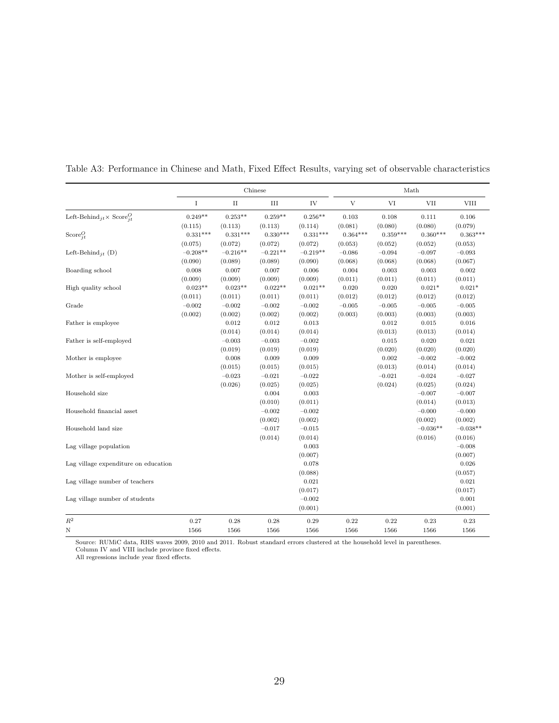|                                              |            | Chinese<br>Math |            |            |             |            |            |             |
|----------------------------------------------|------------|-----------------|------------|------------|-------------|------------|------------|-------------|
|                                              | I          | $\rm II$        | III        | IV         | $\mathbf V$ | VI         | <b>VII</b> | <b>VIII</b> |
| Left-Behind $i_t \times \text{Score}^O_{it}$ | $0.249**$  | $0.253**$       | $0.259**$  | $0.256**$  | 0.103       | 0.108      | 0.111      | 0.106       |
|                                              | (0.115)    | (0.113)         | (0.113)    | (0.114)    | (0.081)     | (0.080)    | (0.080)    | (0.079)     |
| Score $_{it}^O$                              | $0.331***$ | $0.331***$      | $0.330***$ | $0.331***$ | $0.364***$  | $0.359***$ | $0.360***$ | $0.363***$  |
|                                              | (0.075)    | (0.072)         | (0.072)    | (0.072)    | (0.053)     | (0.052)    | (0.052)    | (0.053)     |
| Left-Behind <sub>it</sub> (D)                | $-0.208**$ | $-0.216**$      | $-0.221**$ | $-0.219**$ | $-0.086$    | $-0.094$   | $-0.097$   | $-0.093$    |
|                                              | (0.090)    | (0.089)         | (0.089)    | (0.090)    | (0.068)     | (0.068)    | (0.068)    | (0.067)     |
| Boarding school                              | 0.008      | 0.007           | 0.007      | 0.006      | 0.004       | 0.003      | 0.003      | 0.002       |
|                                              | (0.009)    | (0.009)         | (0.009)    | (0.009)    | (0.011)     | (0.011)    | (0.011)    | (0.011)     |
| High quality school                          | $0.023**$  | $0.023**$       | $0.022**$  | $0.021**$  | 0.020       | 0.020      | $0.021*$   | $0.021*$    |
|                                              | (0.011)    | (0.011)         | (0.011)    | (0.011)    | (0.012)     | (0.012)    | (0.012)    | (0.012)     |
| Grade                                        | $-0.002$   | $-0.002$        | $-0.002$   | $-0.002$   | $-0.005$    | $-0.005$   | $-0.005$   | $-0.005$    |
|                                              | (0.002)    | (0.002)         | (0.002)    | (0.002)    | (0.003)     | (0.003)    | (0.003)    | (0.003)     |
| Father is employee                           |            | 0.012           | 0.012      | 0.013      |             | 0.012      | 0.015      | 0.016       |
|                                              |            | (0.014)         | (0.014)    | (0.014)    |             | (0.013)    | (0.013)    | (0.014)     |
| Father is self-employed                      |            | $-0.003$        | $-0.003$   | $-0.002$   |             | 0.015      | 0.020      | 0.021       |
|                                              |            | (0.019)         | (0.019)    | (0.019)    |             | (0.020)    | (0.020)    | (0.020)     |
| Mother is employee                           |            | 0.008           | 0.009      | 0.009      |             | 0.002      | $-0.002$   | $-0.002$    |
|                                              |            | (0.015)         | (0.015)    | (0.015)    |             | (0.013)    | (0.014)    | (0.014)     |
| Mother is self-employed                      |            | $-0.023$        | $-0.021$   | $-0.022$   |             | $-0.021$   | $-0.024$   | $-0.027$    |
|                                              |            | (0.026)         | (0.025)    | (0.025)    |             | (0.024)    | (0.025)    | (0.024)     |
| Household size                               |            |                 | 0.004      | 0.003      |             |            | $-0.007$   | $-0.007$    |
|                                              |            |                 | (0.010)    | (0.011)    |             |            | (0.014)    | (0.013)     |
| Household financial asset                    |            |                 | $-0.002$   | $-0.002$   |             |            | $-0.000$   | $-0.000$    |
|                                              |            |                 | (0.002)    | (0.002)    |             |            | (0.002)    | (0.002)     |
| Household land size                          |            |                 | $-0.017$   | $-0.015$   |             |            | $-0.036**$ | $-0.038**$  |
|                                              |            |                 | (0.014)    | (0.014)    |             |            | (0.016)    | (0.016)     |
| Lag village population                       |            |                 |            | 0.003      |             |            |            | $-0.008$    |
|                                              |            |                 |            | (0.007)    |             |            |            | (0.007)     |
| Lag village expenditure on education         |            |                 |            | 0.078      |             |            |            | 0.026       |
|                                              |            |                 |            | (0.088)    |             |            |            | (0.057)     |
| Lag village number of teachers               |            |                 |            | 0.021      |             |            |            | 0.021       |
|                                              |            |                 |            | (0.017)    |             |            |            | (0.017)     |
| Lag village number of students               |            |                 |            | $-0.002$   |             |            |            | 0.001       |
|                                              |            |                 |            | (0.001)    |             |            |            | (0.001)     |
| $\mathbb{R}^2$                               | 0.27       | 0.28            | 0.28       | 0.29       | 0.22        | 0.22       | 0.23       | 0.23        |
| N                                            | 1566       | 1566            | 1566       | 1566       | 1566        | 1566       | 1566       | 1566        |

<span id="page-29-0"></span>Table A3: Performance in Chinese and Math, Fixed Effect Results, varying set of observable characteristics

Source: RUMiC data, RHS waves 2009, 2010 and 2011. Robust standard errors clustered at the household level in parentheses. Column IV and VIII include province fixed effects.

All regressions include year fixed effects.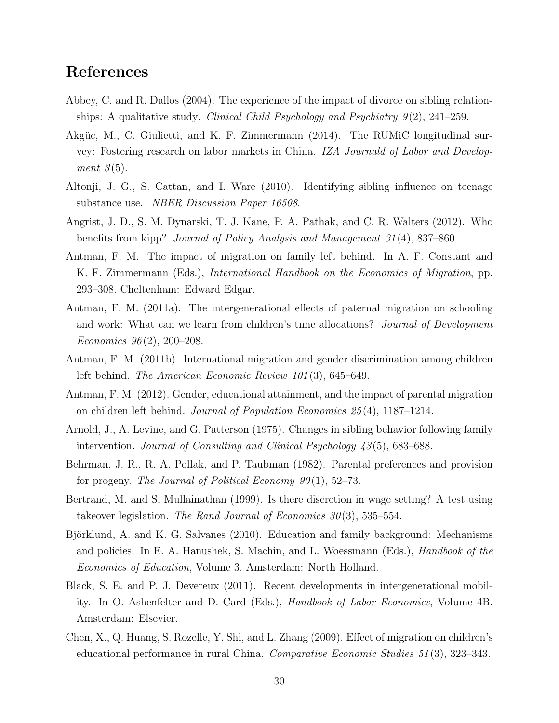#### References

- <span id="page-30-5"></span>Abbey, C. and R. Dallos (2004). The experience of the impact of divorce on sibling relationships: A qualitative study. Clinical Child Psychology and Psychiatry  $9(2)$ , 241–259.
- <span id="page-30-10"></span>Akgüc, M., C. Giulietti, and K. F. Zimmermann (2014). The RUMiC longitudinal survey: Fostering research on labor markets in China. IZA Journald of Labor and Development  $3(5)$ .
- <span id="page-30-3"></span>Altonji, J. G., S. Cattan, and I. Ware (2010). Identifying sibling influence on teenage substance use. NBER Discussion Paper 16508.
- <span id="page-30-12"></span>Angrist, J. D., S. M. Dynarski, T. J. Kane, P. A. Pathak, and C. R. Walters (2012). Who benefits from kipp? Journal of Policy Analysis and Management 31 (4), 837–860.
- <span id="page-30-0"></span>Antman, F. M. The impact of migration on family left behind. In A. F. Constant and K. F. Zimmermann (Eds.), International Handbook on the Economics of Migration, pp. 293–308. Cheltenham: Edward Edgar.
- <span id="page-30-7"></span>Antman, F. M. (2011a). The intergenerational effects of paternal migration on schooling and work: What can we learn from children's time allocations? Journal of Development Economics  $96(2)$ , 200-208.
- <span id="page-30-6"></span>Antman, F. M. (2011b). International migration and gender discrimination among children left behind. *The American Economic Review 101*(3), 645–649.
- <span id="page-30-8"></span>Antman, F. M. (2012). Gender, educational attainment, and the impact of parental migration on children left behind. Journal of Population Economics 25 (4), 1187–1214.
- <span id="page-30-2"></span>Arnold, J., A. Levine, and G. Patterson (1975). Changes in sibling behavior following family intervention. Journal of Consulting and Clinical Psychology  $43(5)$ , 683–688.
- <span id="page-30-4"></span>Behrman, J. R., R. A. Pollak, and P. Taubman (1982). Parental preferences and provision for progeny. The Journal of Political Economy  $90(1)$ , 52–73.
- <span id="page-30-13"></span>Bertrand, M. and S. Mullainathan (1999). Is there discretion in wage setting? A test using takeover legislation. The Rand Journal of Economics  $30(3)$ , 535–554.
- <span id="page-30-11"></span>Björklund, A. and K. G. Salvanes (2010). Education and family background: Mechanisms and policies. In E. A. Hanushek, S. Machin, and L. Woessmann (Eds.), Handbook of the Economics of Education, Volume 3. Amsterdam: North Holland.
- <span id="page-30-1"></span>Black, S. E. and P. J. Devereux (2011). Recent developments in intergenerational mobility. In O. Ashenfelter and D. Card (Eds.), Handbook of Labor Economics, Volume 4B. Amsterdam: Elsevier.
- <span id="page-30-9"></span>Chen, X., Q. Huang, S. Rozelle, Y. Shi, and L. Zhang (2009). Effect of migration on children's educational performance in rural China. Comparative Economic Studies 51 (3), 323–343.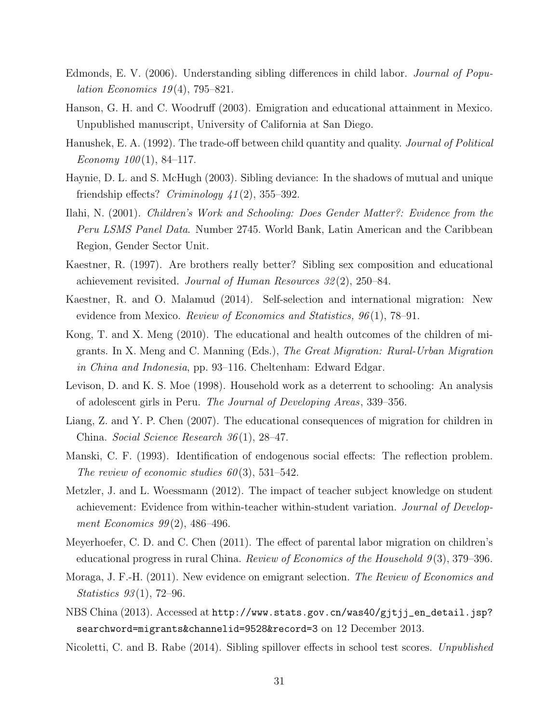- <span id="page-31-12"></span>Edmonds, E. V. (2006). Understanding sibling differences in child labor. Journal of Popu*lation Economics* 19(4), 795–821.
- <span id="page-31-4"></span>Hanson, G. H. and C. Woodruff (2003). Emigration and educational attainment in Mexico. Unpublished manuscript, University of California at San Diego.
- <span id="page-31-1"></span>Hanushek, E. A. (1992). The trade-off between child quantity and quality. Journal of Political Economy  $100(1)$ , 84-117.
- <span id="page-31-0"></span>Haynie, D. L. and S. McHugh (2003). Sibling deviance: In the shadows of mutual and unique friendship effects?  $Criminology$   $41(2)$ , 355–392.
- <span id="page-31-11"></span>Ilahi, N. (2001). Children's Work and Schooling: Does Gender Matter?: Evidence from the Peru LSMS Panel Data. Number 2745. World Bank, Latin American and the Caribbean Region, Gender Sector Unit.
- <span id="page-31-2"></span>Kaestner, R. (1997). Are brothers really better? Sibling sex composition and educational achievement revisited. Journal of Human Resources 32 (2), 250–84.
- <span id="page-31-14"></span>Kaestner, R. and O. Malamud (2014). Self-selection and international migration: New evidence from Mexico. Review of Economics and Statistics,  $96(1)$ , 78–91.
- <span id="page-31-6"></span>Kong, T. and X. Meng (2010). The educational and health outcomes of the children of migrants. In X. Meng and C. Manning (Eds.), The Great Migration: Rural-Urban Migration in China and Indonesia, pp. 93–116. Cheltenham: Edward Edgar.
- <span id="page-31-10"></span>Levison, D. and K. S. Moe (1998). Household work as a deterrent to schooling: An analysis of adolescent girls in Peru. The Journal of Developing Areas, 339–356.
- <span id="page-31-8"></span>Liang, Z. and Y. P. Chen (2007). The educational consequences of migration for children in China. Social Science Research 36 (1), 28–47.
- <span id="page-31-7"></span>Manski, C. F. (1993). Identification of endogenous social effects: The reflection problem. The review of economic studies  $60(3)$ , 531–542.
- <span id="page-31-9"></span>Metzler, J. and L. Woessmann (2012). The impact of teacher subject knowledge on student achievement: Evidence from within-teacher within-student variation. Journal of Development Economics  $99(2)$ , 486-496.
- <span id="page-31-5"></span>Meyerhoefer, C. D. and C. Chen (2011). The effect of parental labor migration on children's educational progress in rural China. *Review of Economics of the Household 9*(3), 379–396.
- <span id="page-31-13"></span>Moraga, J. F.-H. (2011). New evidence on emigrant selection. The Review of Economics and *Statistics*  $93(1)$ , 72–96.
- <span id="page-31-3"></span>NBS China (2013). Accessed at [http://www.stats.gov.cn/was40/gjtjj\\_en\\_detail.jsp?](http://www.stats.gov.cn/was40/gjtjj_en_detail.jsp?searchword=migrants&channelid=9528&record=3) [searchword=migrants&channelid=9528&record=3](http://www.stats.gov.cn/was40/gjtjj_en_detail.jsp?searchword=migrants&channelid=9528&record=3) on 12 December 2013.
- <span id="page-31-15"></span>Nicoletti, C. and B. Rabe (2014). Sibling spillover effects in school test scores. Unpublished